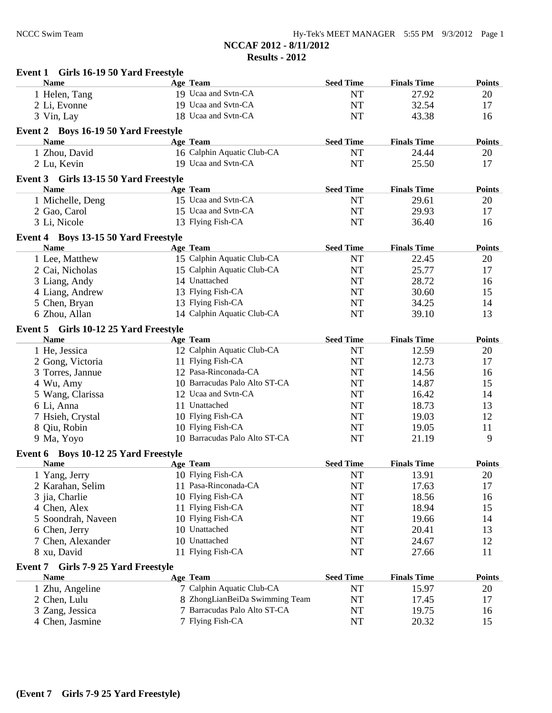| Girls 16-19 50 Yard Freestyle<br>Event 1      |                                |                  |                    |               |
|-----------------------------------------------|--------------------------------|------------------|--------------------|---------------|
| <b>Name</b>                                   | Age Team                       | <b>Seed Time</b> | <b>Finals Time</b> | <b>Points</b> |
| 1 Helen, Tang                                 | 19 Ucaa and Svtn-CA            | <b>NT</b>        | 27.92              | 20            |
| 2 Li, Evonne                                  | 19 Ucaa and Svtn-CA            | <b>NT</b>        | 32.54              | 17            |
| 3 Vin, Lay                                    | 18 Ucaa and Svtn-CA            | <b>NT</b>        | 43.38              | 16            |
| Event 2 Boys 16-19 50 Yard Freestyle          |                                |                  |                    |               |
| <b>Name</b>                                   | <b>Age Team</b>                | <b>Seed Time</b> | <b>Finals Time</b> | <b>Points</b> |
| 1 Zhou, David                                 | 16 Calphin Aquatic Club-CA     | <b>NT</b>        | 24.44              | 20            |
| 2 Lu, Kevin                                   | 19 Ucaa and Svtn-CA            | <b>NT</b>        | 25.50              | 17            |
| Event 3 Girls 13-15 50 Yard Freestyle         |                                |                  |                    |               |
| <b>Name</b>                                   | Age Team                       | <b>Seed Time</b> | <b>Finals Time</b> | <b>Points</b> |
| 1 Michelle, Deng                              | 15 Ucaa and Svtn-CA            | <b>NT</b>        | 29.61              | 20            |
| 2 Gao, Carol                                  | 15 Ucaa and Svtn-CA            | <b>NT</b>        | 29.93              | 17            |
| 3 Li, Nicole                                  | 13 Flying Fish-CA              | <b>NT</b>        | 36.40              | 16            |
| Event 4 Boys 13-15 50 Yard Freestyle          |                                |                  |                    |               |
| <b>Name</b>                                   | <b>Age Team</b>                | <b>Seed Time</b> | <b>Finals Time</b> | <b>Points</b> |
| 1 Lee, Matthew                                | 15 Calphin Aquatic Club-CA     | <b>NT</b>        | 22.45              | 20            |
| 2 Cai, Nicholas                               | 15 Calphin Aquatic Club-CA     | <b>NT</b>        | 25.77              | 17            |
| 3 Liang, Andy                                 | 14 Unattached                  | <b>NT</b>        | 28.72              | 16            |
| 4 Liang, Andrew                               | 13 Flying Fish-CA              | <b>NT</b>        | 30.60              | 15            |
| 5 Chen, Bryan                                 | 13 Flying Fish-CA              | <b>NT</b>        | 34.25              | 14            |
| 6 Zhou, Allan                                 | 14 Calphin Aquatic Club-CA     | <b>NT</b>        | 39.10              | 13            |
| Event 5 Girls 10-12 25 Yard Freestyle         |                                |                  |                    |               |
| <b>Name</b>                                   | Age Team                       | <b>Seed Time</b> | <b>Finals Time</b> | <b>Points</b> |
| 1 He, Jessica                                 | 12 Calphin Aquatic Club-CA     | <b>NT</b>        | 12.59              | 20            |
| 2 Gong, Victoria                              | 11 Flying Fish-CA              | <b>NT</b>        | 12.73              | 17            |
| 3 Torres, Jannue                              | 12 Pasa-Rinconada-CA           | <b>NT</b>        | 14.56              | 16            |
| 4 Wu, Amy                                     | 10 Barracudas Palo Alto ST-CA  | <b>NT</b>        | 14.87              | 15            |
| 5 Wang, Clarissa                              | 12 Ucaa and Svtn-CA            | <b>NT</b>        | 16.42              | 14            |
| 6 Li, Anna                                    | 11 Unattached                  | <b>NT</b>        | 18.73              | 13            |
| 7 Hsieh, Crystal                              | 10 Flying Fish-CA              | <b>NT</b>        | 19.03              | 12            |
| 8 Qiu, Robin                                  | 10 Flying Fish-CA              | <b>NT</b>        | 19.05              | 11            |
| 9 Ma, Yoyo                                    | 10 Barracudas Palo Alto ST-CA  | <b>NT</b>        | 21.19              | 9             |
| Event 6 Boys 10-12 25 Yard Freestyle          |                                |                  |                    |               |
| <b>Name</b>                                   | Age Team                       | <b>Seed Time</b> | <b>Finals Time</b> | <b>Points</b> |
| 1 Yang, Jerry                                 | 10 Flying Fish-CA              | NT               | 13.91              | 20            |
| 2 Karahan, Selim                              | 11 Pasa-Rinconada-CA           | NT               | 17.63              | 17            |
| 3 jia, Charlie                                | 10 Flying Fish-CA              | NT               | 18.56              | 16            |
| 4 Chen, Alex                                  | 11 Flying Fish-CA              | <b>NT</b>        | 18.94              | 15            |
| 5 Soondrah, Naveen                            | 10 Flying Fish-CA              | <b>NT</b>        | 19.66              | 14            |
| 6 Chen, Jerry                                 | 10 Unattached                  | <b>NT</b>        | 20.41              | 13            |
| 7 Chen, Alexander                             | 10 Unattached                  | NT               | 24.67              | 12            |
| 8 xu, David                                   | 11 Flying Fish-CA              | NT               | 27.66              | 11            |
| Girls 7-9 25 Yard Freestyle<br><b>Event 7</b> |                                |                  |                    |               |
| <b>Name</b>                                   | Age Team                       | <b>Seed Time</b> | <b>Finals Time</b> | <b>Points</b> |
| 1 Zhu, Angeline                               | 7 Calphin Aquatic Club-CA      | NT               | 15.97              | 20            |
| 2 Chen, Lulu                                  | 8 ZhongLianBeiDa Swimming Team | NT               | 17.45              | 17            |
| 3 Zang, Jessica                               | 7 Barracudas Palo Alto ST-CA   | NT               | 19.75              | 16            |
| 4 Chen, Jasmine                               | 7 Flying Fish-CA               | NT               | 20.32              | 15            |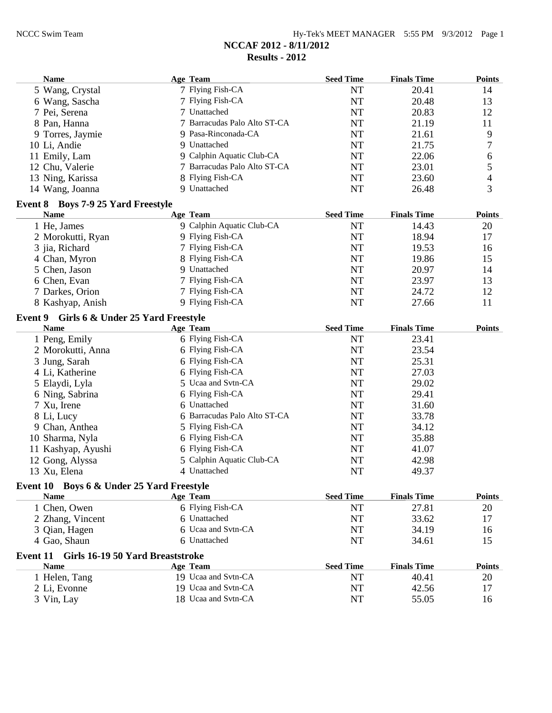| <b>Name</b>     |                                           | Age Team                            | <b>Seed Time</b> | <b>Finals Time</b> | <b>Points</b> |
|-----------------|-------------------------------------------|-------------------------------------|------------------|--------------------|---------------|
|                 | 5 Wang, Crystal                           | 7 Flying Fish-CA                    | <b>NT</b>        | 20.41              | 14            |
|                 | 6 Wang, Sascha                            | 7 Flying Fish-CA                    | <b>NT</b>        | 20.48              | 13            |
|                 | 7 Pei, Serena                             | 7 Unattached                        | <b>NT</b>        | 20.83              | 12            |
|                 | 8 Pan, Hanna                              | 7 Barracudas Palo Alto ST-CA        | <b>NT</b>        | 21.19              | 11            |
|                 | 9 Torres, Jaymie                          | 9 Pasa-Rinconada-CA                 | <b>NT</b>        | 21.61              | 9             |
|                 | 10 Li, Andie                              | 9 Unattached                        | <b>NT</b>        | 21.75              | 7             |
|                 | 11 Emily, Lam                             | 9 Calphin Aquatic Club-CA           | <b>NT</b>        | 22.06              | 6             |
|                 | 12 Chu, Valerie                           | 7 Barracudas Palo Alto ST-CA        | <b>NT</b>        | 23.01              | 5             |
|                 | 13 Ning, Karissa                          | 8 Flying Fish-CA                    | <b>NT</b>        | 23.60              | 4             |
|                 | 14 Wang, Joanna                           | 9 Unattached                        | NT               | 26.48              | 3             |
|                 | Event 8 Boys 7-9 25 Yard Freestyle        |                                     |                  |                    |               |
| <b>Name</b>     |                                           | <b>Age Team</b>                     | <b>Seed Time</b> | <b>Finals Time</b> | <b>Points</b> |
|                 | 1 He, James                               | 9 Calphin Aquatic Club-CA           | <b>NT</b>        | 14.43              | 20            |
|                 | 2 Morokutti, Ryan                         | 9 Flying Fish-CA                    | NT               | 18.94              | 17            |
|                 | 3 jia, Richard                            | 7 Flying Fish-CA                    | <b>NT</b>        | 19.53              | 16            |
|                 | 4 Chan, Myron                             | 8 Flying Fish-CA                    | <b>NT</b>        | 19.86              | 15            |
|                 | 5 Chen, Jason                             | 9 Unattached                        | <b>NT</b>        | 20.97              | 14            |
|                 | 6 Chen, Evan                              | 7 Flying Fish-CA                    | <b>NT</b>        | 23.97              | 13            |
|                 | 7 Darkes, Orion                           | 7 Flying Fish-CA                    | <b>NT</b>        | 24.72              | 12            |
|                 | 8 Kashyap, Anish                          | 9 Flying Fish-CA                    | NT               | 27.66              | 11            |
|                 |                                           |                                     |                  |                    |               |
| <b>Name</b>     | Event 9 Girls 6 & Under 25 Yard Freestyle | <b>Age Team</b>                     | <b>Seed Time</b> | <b>Finals Time</b> | <b>Points</b> |
|                 | 1 Peng, Emily                             | 6 Flying Fish-CA                    | <b>NT</b>        | 23.41              |               |
|                 | 2 Morokutti, Anna                         | 6 Flying Fish-CA                    | <b>NT</b>        | 23.54              |               |
|                 | 3 Jung, Sarah                             | 6 Flying Fish-CA                    | <b>NT</b>        | 25.31              |               |
|                 | 4 Li, Katherine                           | 6 Flying Fish-CA                    | <b>NT</b>        | 27.03              |               |
|                 | 5 Elaydi, Lyla                            | 5 Ucaa and Svtn-CA                  | <b>NT</b>        | 29.02              |               |
|                 | 6 Ning, Sabrina                           | 6 Flying Fish-CA                    | <b>NT</b>        | 29.41              |               |
|                 | 7 Xu, Irene                               | 6 Unattached                        | NT               | 31.60              |               |
|                 | 8 Li, Lucy                                | 6 Barracudas Palo Alto ST-CA        | <b>NT</b>        | 33.78              |               |
|                 | 9 Chan, Anthea                            | 5 Flying Fish-CA                    | NT               | 34.12              |               |
|                 | 10 Sharma, Nyla                           | 6 Flying Fish-CA                    | <b>NT</b>        | 35.88              |               |
|                 | 11 Kashyap, Ayushi                        | 6 Flying Fish-CA                    | NT               | 41.07              |               |
|                 | 12 Gong, Alyssa                           | 5 Calphin Aquatic Club-CA           | <b>NT</b>        | 42.98              |               |
|                 | 13 Xu, Elena                              | 4 Unattached                        | <b>NT</b>        | 49.37              |               |
|                 |                                           |                                     |                  |                    |               |
| <b>Name</b>     | Event 10 Boys 6 & Under 25 Yard Freestyle |                                     | <b>Seed Time</b> | <b>Finals Time</b> | <b>Points</b> |
|                 |                                           | <b>Age Team</b><br>6 Flying Fish-CA | <b>NT</b>        | 27.81              |               |
|                 | 1 Chen, Owen                              | 6 Unattached                        |                  | 33.62              | 20            |
|                 | 2 Zhang, Vincent                          | 6 Ucaa and Svtn-CA                  | NT               |                    | 17            |
|                 | 3 Qian, Hagen<br>4 Gao, Shaun             | 6 Unattached                        | NT               | 34.19              | 16            |
|                 |                                           |                                     | NT               | 34.61              | 15            |
| <b>Event 11</b> | Girls 16-19 50 Yard Breaststroke          |                                     |                  |                    |               |
| <b>Name</b>     |                                           | Age Team                            | <b>Seed Time</b> | <b>Finals Time</b> | <b>Points</b> |
|                 | 1 Helen, Tang                             | 19 Ucaa and Svtn-CA                 | <b>NT</b>        | 40.41              | 20            |
|                 | 2 Li, Evonne                              | 19 Ucaa and Svtn-CA                 | <b>NT</b>        | 42.56              | 17            |
|                 | 3 Vin, Lay                                | 18 Ucaa and Svtn-CA                 | NT               | 55.05              | 16            |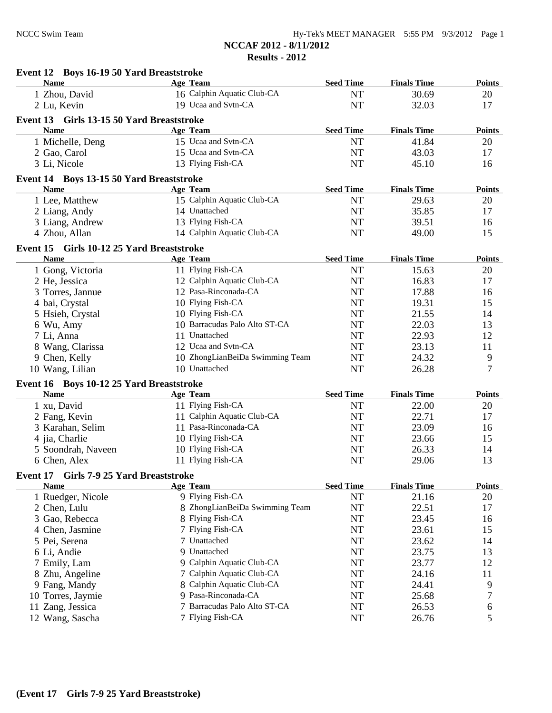| Event 12 Boys 16-19 50 Yard Breaststroke                |                                 |                  |                    |               |
|---------------------------------------------------------|---------------------------------|------------------|--------------------|---------------|
| <b>Name</b>                                             | Age Team                        | <b>Seed Time</b> | <b>Finals Time</b> | <b>Points</b> |
| 1 Zhou, David                                           | 16 Calphin Aquatic Club-CA      | <b>NT</b>        | 30.69              | 20            |
| 2 Lu, Kevin                                             | 19 Ucaa and Svtn-CA             | <b>NT</b>        | 32.03              | 17            |
| Event 13 Girls 13-15 50 Yard Breaststroke               |                                 |                  |                    |               |
| <b>Name</b>                                             | Age Team                        | <b>Seed Time</b> | <b>Finals Time</b> | <b>Points</b> |
| 1 Michelle, Deng                                        | 15 Ucaa and Svtn-CA             | <b>NT</b>        | 41.84              | 20            |
| 2 Gao, Carol                                            | 15 Ucaa and Svtn-CA             | NT               | 43.03              | 17            |
| 3 Li, Nicole                                            | 13 Flying Fish-CA               | <b>NT</b>        | 45.10              | 16            |
|                                                         |                                 |                  |                    |               |
| Event 14 Boys 13-15 50 Yard Breaststroke<br><b>Name</b> | Age Team                        | <b>Seed Time</b> | <b>Finals Time</b> | <b>Points</b> |
| 1 Lee, Matthew                                          | 15 Calphin Aquatic Club-CA      | <b>NT</b>        | 29.63              | 20            |
| 2 Liang, Andy                                           | 14 Unattached                   | NT               | 35.85              | 17            |
|                                                         | 13 Flying Fish-CA               |                  | 39.51              | 16            |
| 3 Liang, Andrew                                         | 14 Calphin Aquatic Club-CA      | NT<br><b>NT</b>  | 49.00              | 15            |
| 4 Zhou, Allan                                           |                                 |                  |                    |               |
| Event 15 Girls 10-12 25 Yard Breaststroke               |                                 |                  |                    |               |
| <b>Name</b>                                             | Age Team                        | <b>Seed Time</b> | <b>Finals Time</b> | <b>Points</b> |
| 1 Gong, Victoria                                        | 11 Flying Fish-CA               | <b>NT</b>        | 15.63              | 20            |
| 2 He, Jessica                                           | 12 Calphin Aquatic Club-CA      | <b>NT</b>        | 16.83              | 17            |
| 3 Torres, Jannue                                        | 12 Pasa-Rinconada-CA            | <b>NT</b>        | 17.88              | 16            |
| 4 bai, Crystal                                          | 10 Flying Fish-CA               | <b>NT</b>        | 19.31              | 15            |
| 5 Hsieh, Crystal                                        | 10 Flying Fish-CA               | <b>NT</b>        | 21.55              | 14            |
| 6 Wu, Amy                                               | 10 Barracudas Palo Alto ST-CA   | <b>NT</b>        | 22.03              | 13            |
| 7 Li, Anna                                              | 11 Unattached                   | <b>NT</b>        | 22.93              | 12            |
| 8 Wang, Clarissa                                        | 12 Ucaa and Svtn-CA             | NT               | 23.13              | 11            |
| 9 Chen, Kelly                                           | 10 ZhongLianBeiDa Swimming Team | NT               | 24.32              | 9             |
| 10 Wang, Lilian                                         | 10 Unattached                   | <b>NT</b>        | 26.28              | $\tau$        |
| Event 16 Boys 10-12 25 Yard Breaststroke                |                                 |                  |                    |               |
| <b>Name</b>                                             | <b>Age Team</b>                 | <b>Seed Time</b> | <b>Finals Time</b> | <b>Points</b> |
| 1 xu, David                                             | 11 Flying Fish-CA               | <b>NT</b>        | 22.00              | 20            |
| 2 Fang, Kevin                                           | 11 Calphin Aquatic Club-CA      | NT               | 22.71              | 17            |
| 3 Karahan, Selim                                        | 11 Pasa-Rinconada-CA            | NT               | 23.09              | 16            |
| 4 jia, Charlie                                          | 10 Flying Fish-CA               | NT               | 23.66              | 15            |
| 5 Soondrah, Naveen                                      | 10 Flying Fish-CA               | NT               | 26.33              | 14            |
| 6 Chen, Alex                                            | 11 Flying Fish-CA               | <b>NT</b>        | 29.06              | 13            |
|                                                         |                                 |                  |                    |               |
| Event 17<br>Girls 7-9 25 Yard Breaststroke              | Age Team                        |                  |                    |               |
| <b>Name</b>                                             | 9 Flying Fish-CA                | <b>Seed Time</b> | <b>Finals Time</b> | <b>Points</b> |
| 1 Ruedger, Nicole                                       |                                 | NT               | 21.16              | 20            |
| 2 Chen, Lulu                                            | 8 ZhongLianBeiDa Swimming Team  | NT               | 22.51              | 17            |
| 3 Gao, Rebecca                                          | 8 Flying Fish-CA                | NT               | 23.45              | 16            |
| 4 Chen, Jasmine                                         | 7 Flying Fish-CA                | NT               | 23.61              | 15            |
| 5 Pei, Serena                                           | 7 Unattached                    | NT               | 23.62              | 14            |
| 6 Li, Andie                                             | 9 Unattached                    | NT               | 23.75              | 13            |
| 7 Emily, Lam                                            | 9 Calphin Aquatic Club-CA       | NT               | 23.77              | 12            |
| 8 Zhu, Angeline                                         | 7 Calphin Aquatic Club-CA       | NT               | 24.16              | 11            |
| 9 Fang, Mandy                                           | 8 Calphin Aquatic Club-CA       | NT               | 24.41              | 9             |
| 10 Torres, Jaymie                                       | 9 Pasa-Rinconada-CA             | NT               | 25.68              | 7             |
| Zang, Jessica<br>11                                     | 7 Barracudas Palo Alto ST-CA    | NT               | 26.53              | 6             |
| 12 Wang, Sascha                                         | 7 Flying Fish-CA                | NT               | 26.76              | 5             |
|                                                         |                                 |                  |                    |               |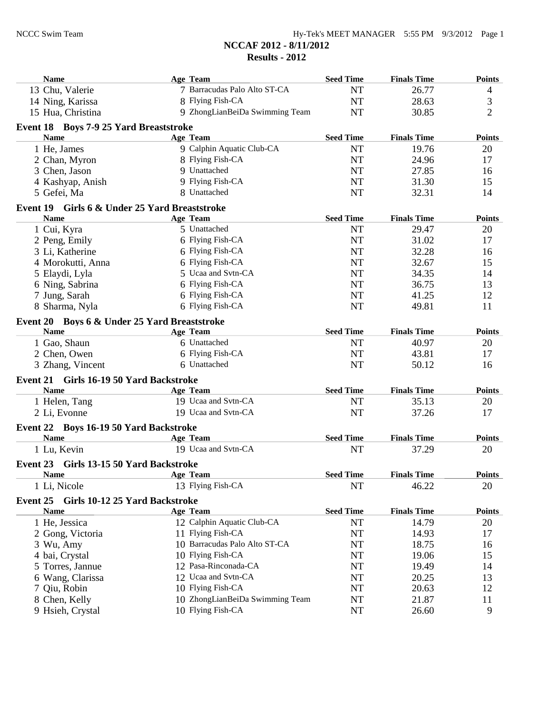| 7 Barracudas Palo Alto ST-CA<br><b>NT</b><br>26.77<br>13 Chu, Valerie<br>$\overline{4}$<br>$\mathfrak{Z}$<br>8 Flying Fish-CA<br>28.63<br>14 Ning, Karissa<br><b>NT</b><br>$\overline{2}$<br>15 Hua, Christina<br>9 ZhongLianBeiDa Swimming Team<br><b>NT</b><br>30.85<br>Event 18 Boys 7-9 25 Yard Breaststroke<br><b>Seed Time</b><br><b>Name</b><br>Age Team<br><b>Finals Time</b><br>9 Calphin Aquatic Club-CA<br><b>NT</b><br>19.76<br>1 He, James<br>20<br>8 Flying Fish-CA<br><b>NT</b><br>24.96<br>2 Chan, Myron<br>17<br>9 Unattached<br>27.85<br>3 Chen, Jason<br><b>NT</b><br>16<br><b>NT</b><br>31.30<br>4 Kashyap, Anish<br>9 Flying Fish-CA<br>15<br>8 Unattached<br><b>NT</b><br>32.31<br>5 Gefei, Ma<br>14<br>Event 19 Girls 6 & Under 25 Yard Breaststroke<br><b>Name</b><br>Age Team<br><b>Seed Time</b><br><b>Finals Time</b><br>1 Cui, Kyra<br>5 Unattached<br><b>NT</b><br>29.47<br>20<br>6 Flying Fish-CA<br><b>NT</b><br>17<br>2 Peng, Emily<br>31.02<br>6 Flying Fish-CA<br>3 Li, Katherine<br><b>NT</b><br>32.28<br>16<br>6 Flying Fish-CA<br>15<br>4 Morokutti, Anna<br><b>NT</b><br>32.67<br>5 Ucaa and Svtn-CA<br>34.35<br>5 Elaydi, Lyla<br><b>NT</b><br>14<br>6 Flying Fish-CA<br>13<br>6 Ning, Sabrina<br><b>NT</b><br>36.75<br>6 Flying Fish-CA<br><b>NT</b><br>7 Jung, Sarah<br>41.25<br>12<br>6 Flying Fish-CA<br><b>NT</b><br>11<br>8 Sharma, Nyla<br>49.81<br>Event 20 Boys 6 & Under 25 Yard Breaststroke<br><b>Seed Time</b><br><b>Finals Time</b><br><b>Name</b><br>Age Team<br>6 Unattached<br><b>NT</b><br>40.97<br>1 Gao, Shaun<br>20<br>2 Chen, Owen<br>6 Flying Fish-CA<br><b>NT</b><br>43.81<br>17<br>6 Unattached<br>3 Zhang, Vincent<br><b>NT</b><br>50.12<br>16<br>Event 21 Girls 16-19 50 Yard Backstroke<br><b>Name</b><br>Age Team<br><b>Seed Time</b><br><b>Finals Time</b><br>19 Ucaa and Svtn-CA<br>1 Helen, Tang<br><b>NT</b><br>35.13<br>20<br>19 Ucaa and Svtn-CA<br><b>NT</b><br>37.26<br>17<br>2 Li, Evonne<br>Event 22 Boys 16-19 50 Yard Backstroke<br><b>Seed Time</b><br><b>Finals Time</b><br><b>Name</b><br><b>Age Team</b><br>19 Ucaa and Svtn-CA<br><b>NT</b><br>37.29<br>20<br>1 Lu, Kevin<br>Event 23 Girls 13-15 50 Yard Backstroke<br><b>Seed Time</b><br><b>Finals Time</b><br><b>Name</b><br><b>Age Team</b><br>13 Flying Fish-CA<br>1 Li, Nicole<br><b>NT</b><br>46.22<br>20<br>Event 25 Girls 10-12 25 Yard Backstroke<br><b>Seed Time</b><br><b>Name</b><br><b>Finals Time</b><br><b>Age Team</b><br>12 Calphin Aquatic Club-CA<br>1 He, Jessica<br>NT<br>14.79<br>20<br>11 Flying Fish-CA<br>NT<br>14.93<br>17<br>2 Gong, Victoria<br>10 Barracudas Palo Alto ST-CA<br>NT<br>18.75<br>16<br>3 Wu, Amy<br>10 Flying Fish-CA<br>4 bai, Crystal<br>NT<br>19.06<br>15<br>12 Pasa-Rinconada-CA<br>NT<br>5 Torres, Jannue<br>19.49<br>14<br>12 Ucaa and Svtn-CA<br>6 Wang, Clarissa<br>NT<br>13<br>20.25<br>10 Flying Fish-CA<br>NT<br>12<br>7 Qiu, Robin<br>20.63<br>10 ZhongLianBeiDa Swimming Team<br>NT<br>21.87<br>8 Chen, Kelly<br>11<br>10 Flying Fish-CA<br>NT<br>9 Hsieh, Crystal<br>26.60<br>9 | <b>Name</b> | Age Team | <b>Seed Time</b> | <b>Finals Time</b> | <b>Points</b> |
|---------------------------------------------------------------------------------------------------------------------------------------------------------------------------------------------------------------------------------------------------------------------------------------------------------------------------------------------------------------------------------------------------------------------------------------------------------------------------------------------------------------------------------------------------------------------------------------------------------------------------------------------------------------------------------------------------------------------------------------------------------------------------------------------------------------------------------------------------------------------------------------------------------------------------------------------------------------------------------------------------------------------------------------------------------------------------------------------------------------------------------------------------------------------------------------------------------------------------------------------------------------------------------------------------------------------------------------------------------------------------------------------------------------------------------------------------------------------------------------------------------------------------------------------------------------------------------------------------------------------------------------------------------------------------------------------------------------------------------------------------------------------------------------------------------------------------------------------------------------------------------------------------------------------------------------------------------------------------------------------------------------------------------------------------------------------------------------------------------------------------------------------------------------------------------------------------------------------------------------------------------------------------------------------------------------------------------------------------------------------------------------------------------------------------------------------------------------------------------------------------------------------------------------------------------------------------------------------------------------------------------------------------------------------------------------------------------------------------------------------------------------------------------------------------------------------------------------------------------------------------------------------------------------------------------------------------------------------------------------------------------------------------------------------------------------------------------|-------------|----------|------------------|--------------------|---------------|
|                                                                                                                                                                                                                                                                                                                                                                                                                                                                                                                                                                                                                                                                                                                                                                                                                                                                                                                                                                                                                                                                                                                                                                                                                                                                                                                                                                                                                                                                                                                                                                                                                                                                                                                                                                                                                                                                                                                                                                                                                                                                                                                                                                                                                                                                                                                                                                                                                                                                                                                                                                                                                                                                                                                                                                                                                                                                                                                                                                                                                                                                                 |             |          |                  |                    |               |
|                                                                                                                                                                                                                                                                                                                                                                                                                                                                                                                                                                                                                                                                                                                                                                                                                                                                                                                                                                                                                                                                                                                                                                                                                                                                                                                                                                                                                                                                                                                                                                                                                                                                                                                                                                                                                                                                                                                                                                                                                                                                                                                                                                                                                                                                                                                                                                                                                                                                                                                                                                                                                                                                                                                                                                                                                                                                                                                                                                                                                                                                                 |             |          |                  |                    |               |
|                                                                                                                                                                                                                                                                                                                                                                                                                                                                                                                                                                                                                                                                                                                                                                                                                                                                                                                                                                                                                                                                                                                                                                                                                                                                                                                                                                                                                                                                                                                                                                                                                                                                                                                                                                                                                                                                                                                                                                                                                                                                                                                                                                                                                                                                                                                                                                                                                                                                                                                                                                                                                                                                                                                                                                                                                                                                                                                                                                                                                                                                                 |             |          |                  |                    |               |
|                                                                                                                                                                                                                                                                                                                                                                                                                                                                                                                                                                                                                                                                                                                                                                                                                                                                                                                                                                                                                                                                                                                                                                                                                                                                                                                                                                                                                                                                                                                                                                                                                                                                                                                                                                                                                                                                                                                                                                                                                                                                                                                                                                                                                                                                                                                                                                                                                                                                                                                                                                                                                                                                                                                                                                                                                                                                                                                                                                                                                                                                                 |             |          |                  |                    |               |
|                                                                                                                                                                                                                                                                                                                                                                                                                                                                                                                                                                                                                                                                                                                                                                                                                                                                                                                                                                                                                                                                                                                                                                                                                                                                                                                                                                                                                                                                                                                                                                                                                                                                                                                                                                                                                                                                                                                                                                                                                                                                                                                                                                                                                                                                                                                                                                                                                                                                                                                                                                                                                                                                                                                                                                                                                                                                                                                                                                                                                                                                                 |             |          |                  |                    | <b>Points</b> |
|                                                                                                                                                                                                                                                                                                                                                                                                                                                                                                                                                                                                                                                                                                                                                                                                                                                                                                                                                                                                                                                                                                                                                                                                                                                                                                                                                                                                                                                                                                                                                                                                                                                                                                                                                                                                                                                                                                                                                                                                                                                                                                                                                                                                                                                                                                                                                                                                                                                                                                                                                                                                                                                                                                                                                                                                                                                                                                                                                                                                                                                                                 |             |          |                  |                    |               |
|                                                                                                                                                                                                                                                                                                                                                                                                                                                                                                                                                                                                                                                                                                                                                                                                                                                                                                                                                                                                                                                                                                                                                                                                                                                                                                                                                                                                                                                                                                                                                                                                                                                                                                                                                                                                                                                                                                                                                                                                                                                                                                                                                                                                                                                                                                                                                                                                                                                                                                                                                                                                                                                                                                                                                                                                                                                                                                                                                                                                                                                                                 |             |          |                  |                    |               |
|                                                                                                                                                                                                                                                                                                                                                                                                                                                                                                                                                                                                                                                                                                                                                                                                                                                                                                                                                                                                                                                                                                                                                                                                                                                                                                                                                                                                                                                                                                                                                                                                                                                                                                                                                                                                                                                                                                                                                                                                                                                                                                                                                                                                                                                                                                                                                                                                                                                                                                                                                                                                                                                                                                                                                                                                                                                                                                                                                                                                                                                                                 |             |          |                  |                    |               |
|                                                                                                                                                                                                                                                                                                                                                                                                                                                                                                                                                                                                                                                                                                                                                                                                                                                                                                                                                                                                                                                                                                                                                                                                                                                                                                                                                                                                                                                                                                                                                                                                                                                                                                                                                                                                                                                                                                                                                                                                                                                                                                                                                                                                                                                                                                                                                                                                                                                                                                                                                                                                                                                                                                                                                                                                                                                                                                                                                                                                                                                                                 |             |          |                  |                    |               |
|                                                                                                                                                                                                                                                                                                                                                                                                                                                                                                                                                                                                                                                                                                                                                                                                                                                                                                                                                                                                                                                                                                                                                                                                                                                                                                                                                                                                                                                                                                                                                                                                                                                                                                                                                                                                                                                                                                                                                                                                                                                                                                                                                                                                                                                                                                                                                                                                                                                                                                                                                                                                                                                                                                                                                                                                                                                                                                                                                                                                                                                                                 |             |          |                  |                    |               |
|                                                                                                                                                                                                                                                                                                                                                                                                                                                                                                                                                                                                                                                                                                                                                                                                                                                                                                                                                                                                                                                                                                                                                                                                                                                                                                                                                                                                                                                                                                                                                                                                                                                                                                                                                                                                                                                                                                                                                                                                                                                                                                                                                                                                                                                                                                                                                                                                                                                                                                                                                                                                                                                                                                                                                                                                                                                                                                                                                                                                                                                                                 |             |          |                  |                    |               |
|                                                                                                                                                                                                                                                                                                                                                                                                                                                                                                                                                                                                                                                                                                                                                                                                                                                                                                                                                                                                                                                                                                                                                                                                                                                                                                                                                                                                                                                                                                                                                                                                                                                                                                                                                                                                                                                                                                                                                                                                                                                                                                                                                                                                                                                                                                                                                                                                                                                                                                                                                                                                                                                                                                                                                                                                                                                                                                                                                                                                                                                                                 |             |          |                  |                    | <b>Points</b> |
|                                                                                                                                                                                                                                                                                                                                                                                                                                                                                                                                                                                                                                                                                                                                                                                                                                                                                                                                                                                                                                                                                                                                                                                                                                                                                                                                                                                                                                                                                                                                                                                                                                                                                                                                                                                                                                                                                                                                                                                                                                                                                                                                                                                                                                                                                                                                                                                                                                                                                                                                                                                                                                                                                                                                                                                                                                                                                                                                                                                                                                                                                 |             |          |                  |                    |               |
|                                                                                                                                                                                                                                                                                                                                                                                                                                                                                                                                                                                                                                                                                                                                                                                                                                                                                                                                                                                                                                                                                                                                                                                                                                                                                                                                                                                                                                                                                                                                                                                                                                                                                                                                                                                                                                                                                                                                                                                                                                                                                                                                                                                                                                                                                                                                                                                                                                                                                                                                                                                                                                                                                                                                                                                                                                                                                                                                                                                                                                                                                 |             |          |                  |                    |               |
|                                                                                                                                                                                                                                                                                                                                                                                                                                                                                                                                                                                                                                                                                                                                                                                                                                                                                                                                                                                                                                                                                                                                                                                                                                                                                                                                                                                                                                                                                                                                                                                                                                                                                                                                                                                                                                                                                                                                                                                                                                                                                                                                                                                                                                                                                                                                                                                                                                                                                                                                                                                                                                                                                                                                                                                                                                                                                                                                                                                                                                                                                 |             |          |                  |                    |               |
|                                                                                                                                                                                                                                                                                                                                                                                                                                                                                                                                                                                                                                                                                                                                                                                                                                                                                                                                                                                                                                                                                                                                                                                                                                                                                                                                                                                                                                                                                                                                                                                                                                                                                                                                                                                                                                                                                                                                                                                                                                                                                                                                                                                                                                                                                                                                                                                                                                                                                                                                                                                                                                                                                                                                                                                                                                                                                                                                                                                                                                                                                 |             |          |                  |                    |               |
|                                                                                                                                                                                                                                                                                                                                                                                                                                                                                                                                                                                                                                                                                                                                                                                                                                                                                                                                                                                                                                                                                                                                                                                                                                                                                                                                                                                                                                                                                                                                                                                                                                                                                                                                                                                                                                                                                                                                                                                                                                                                                                                                                                                                                                                                                                                                                                                                                                                                                                                                                                                                                                                                                                                                                                                                                                                                                                                                                                                                                                                                                 |             |          |                  |                    |               |
|                                                                                                                                                                                                                                                                                                                                                                                                                                                                                                                                                                                                                                                                                                                                                                                                                                                                                                                                                                                                                                                                                                                                                                                                                                                                                                                                                                                                                                                                                                                                                                                                                                                                                                                                                                                                                                                                                                                                                                                                                                                                                                                                                                                                                                                                                                                                                                                                                                                                                                                                                                                                                                                                                                                                                                                                                                                                                                                                                                                                                                                                                 |             |          |                  |                    |               |
|                                                                                                                                                                                                                                                                                                                                                                                                                                                                                                                                                                                                                                                                                                                                                                                                                                                                                                                                                                                                                                                                                                                                                                                                                                                                                                                                                                                                                                                                                                                                                                                                                                                                                                                                                                                                                                                                                                                                                                                                                                                                                                                                                                                                                                                                                                                                                                                                                                                                                                                                                                                                                                                                                                                                                                                                                                                                                                                                                                                                                                                                                 |             |          |                  |                    |               |
|                                                                                                                                                                                                                                                                                                                                                                                                                                                                                                                                                                                                                                                                                                                                                                                                                                                                                                                                                                                                                                                                                                                                                                                                                                                                                                                                                                                                                                                                                                                                                                                                                                                                                                                                                                                                                                                                                                                                                                                                                                                                                                                                                                                                                                                                                                                                                                                                                                                                                                                                                                                                                                                                                                                                                                                                                                                                                                                                                                                                                                                                                 |             |          |                  |                    |               |
|                                                                                                                                                                                                                                                                                                                                                                                                                                                                                                                                                                                                                                                                                                                                                                                                                                                                                                                                                                                                                                                                                                                                                                                                                                                                                                                                                                                                                                                                                                                                                                                                                                                                                                                                                                                                                                                                                                                                                                                                                                                                                                                                                                                                                                                                                                                                                                                                                                                                                                                                                                                                                                                                                                                                                                                                                                                                                                                                                                                                                                                                                 |             |          |                  |                    |               |
|                                                                                                                                                                                                                                                                                                                                                                                                                                                                                                                                                                                                                                                                                                                                                                                                                                                                                                                                                                                                                                                                                                                                                                                                                                                                                                                                                                                                                                                                                                                                                                                                                                                                                                                                                                                                                                                                                                                                                                                                                                                                                                                                                                                                                                                                                                                                                                                                                                                                                                                                                                                                                                                                                                                                                                                                                                                                                                                                                                                                                                                                                 |             |          |                  |                    | <b>Points</b> |
|                                                                                                                                                                                                                                                                                                                                                                                                                                                                                                                                                                                                                                                                                                                                                                                                                                                                                                                                                                                                                                                                                                                                                                                                                                                                                                                                                                                                                                                                                                                                                                                                                                                                                                                                                                                                                                                                                                                                                                                                                                                                                                                                                                                                                                                                                                                                                                                                                                                                                                                                                                                                                                                                                                                                                                                                                                                                                                                                                                                                                                                                                 |             |          |                  |                    |               |
|                                                                                                                                                                                                                                                                                                                                                                                                                                                                                                                                                                                                                                                                                                                                                                                                                                                                                                                                                                                                                                                                                                                                                                                                                                                                                                                                                                                                                                                                                                                                                                                                                                                                                                                                                                                                                                                                                                                                                                                                                                                                                                                                                                                                                                                                                                                                                                                                                                                                                                                                                                                                                                                                                                                                                                                                                                                                                                                                                                                                                                                                                 |             |          |                  |                    |               |
|                                                                                                                                                                                                                                                                                                                                                                                                                                                                                                                                                                                                                                                                                                                                                                                                                                                                                                                                                                                                                                                                                                                                                                                                                                                                                                                                                                                                                                                                                                                                                                                                                                                                                                                                                                                                                                                                                                                                                                                                                                                                                                                                                                                                                                                                                                                                                                                                                                                                                                                                                                                                                                                                                                                                                                                                                                                                                                                                                                                                                                                                                 |             |          |                  |                    |               |
|                                                                                                                                                                                                                                                                                                                                                                                                                                                                                                                                                                                                                                                                                                                                                                                                                                                                                                                                                                                                                                                                                                                                                                                                                                                                                                                                                                                                                                                                                                                                                                                                                                                                                                                                                                                                                                                                                                                                                                                                                                                                                                                                                                                                                                                                                                                                                                                                                                                                                                                                                                                                                                                                                                                                                                                                                                                                                                                                                                                                                                                                                 |             |          |                  |                    |               |
|                                                                                                                                                                                                                                                                                                                                                                                                                                                                                                                                                                                                                                                                                                                                                                                                                                                                                                                                                                                                                                                                                                                                                                                                                                                                                                                                                                                                                                                                                                                                                                                                                                                                                                                                                                                                                                                                                                                                                                                                                                                                                                                                                                                                                                                                                                                                                                                                                                                                                                                                                                                                                                                                                                                                                                                                                                                                                                                                                                                                                                                                                 |             |          |                  |                    | <b>Points</b> |
|                                                                                                                                                                                                                                                                                                                                                                                                                                                                                                                                                                                                                                                                                                                                                                                                                                                                                                                                                                                                                                                                                                                                                                                                                                                                                                                                                                                                                                                                                                                                                                                                                                                                                                                                                                                                                                                                                                                                                                                                                                                                                                                                                                                                                                                                                                                                                                                                                                                                                                                                                                                                                                                                                                                                                                                                                                                                                                                                                                                                                                                                                 |             |          |                  |                    |               |
|                                                                                                                                                                                                                                                                                                                                                                                                                                                                                                                                                                                                                                                                                                                                                                                                                                                                                                                                                                                                                                                                                                                                                                                                                                                                                                                                                                                                                                                                                                                                                                                                                                                                                                                                                                                                                                                                                                                                                                                                                                                                                                                                                                                                                                                                                                                                                                                                                                                                                                                                                                                                                                                                                                                                                                                                                                                                                                                                                                                                                                                                                 |             |          |                  |                    |               |
|                                                                                                                                                                                                                                                                                                                                                                                                                                                                                                                                                                                                                                                                                                                                                                                                                                                                                                                                                                                                                                                                                                                                                                                                                                                                                                                                                                                                                                                                                                                                                                                                                                                                                                                                                                                                                                                                                                                                                                                                                                                                                                                                                                                                                                                                                                                                                                                                                                                                                                                                                                                                                                                                                                                                                                                                                                                                                                                                                                                                                                                                                 |             |          |                  |                    |               |
|                                                                                                                                                                                                                                                                                                                                                                                                                                                                                                                                                                                                                                                                                                                                                                                                                                                                                                                                                                                                                                                                                                                                                                                                                                                                                                                                                                                                                                                                                                                                                                                                                                                                                                                                                                                                                                                                                                                                                                                                                                                                                                                                                                                                                                                                                                                                                                                                                                                                                                                                                                                                                                                                                                                                                                                                                                                                                                                                                                                                                                                                                 |             |          |                  |                    | <b>Points</b> |
|                                                                                                                                                                                                                                                                                                                                                                                                                                                                                                                                                                                                                                                                                                                                                                                                                                                                                                                                                                                                                                                                                                                                                                                                                                                                                                                                                                                                                                                                                                                                                                                                                                                                                                                                                                                                                                                                                                                                                                                                                                                                                                                                                                                                                                                                                                                                                                                                                                                                                                                                                                                                                                                                                                                                                                                                                                                                                                                                                                                                                                                                                 |             |          |                  |                    |               |
|                                                                                                                                                                                                                                                                                                                                                                                                                                                                                                                                                                                                                                                                                                                                                                                                                                                                                                                                                                                                                                                                                                                                                                                                                                                                                                                                                                                                                                                                                                                                                                                                                                                                                                                                                                                                                                                                                                                                                                                                                                                                                                                                                                                                                                                                                                                                                                                                                                                                                                                                                                                                                                                                                                                                                                                                                                                                                                                                                                                                                                                                                 |             |          |                  |                    |               |
|                                                                                                                                                                                                                                                                                                                                                                                                                                                                                                                                                                                                                                                                                                                                                                                                                                                                                                                                                                                                                                                                                                                                                                                                                                                                                                                                                                                                                                                                                                                                                                                                                                                                                                                                                                                                                                                                                                                                                                                                                                                                                                                                                                                                                                                                                                                                                                                                                                                                                                                                                                                                                                                                                                                                                                                                                                                                                                                                                                                                                                                                                 |             |          |                  |                    | <b>Points</b> |
|                                                                                                                                                                                                                                                                                                                                                                                                                                                                                                                                                                                                                                                                                                                                                                                                                                                                                                                                                                                                                                                                                                                                                                                                                                                                                                                                                                                                                                                                                                                                                                                                                                                                                                                                                                                                                                                                                                                                                                                                                                                                                                                                                                                                                                                                                                                                                                                                                                                                                                                                                                                                                                                                                                                                                                                                                                                                                                                                                                                                                                                                                 |             |          |                  |                    |               |
|                                                                                                                                                                                                                                                                                                                                                                                                                                                                                                                                                                                                                                                                                                                                                                                                                                                                                                                                                                                                                                                                                                                                                                                                                                                                                                                                                                                                                                                                                                                                                                                                                                                                                                                                                                                                                                                                                                                                                                                                                                                                                                                                                                                                                                                                                                                                                                                                                                                                                                                                                                                                                                                                                                                                                                                                                                                                                                                                                                                                                                                                                 |             |          |                  |                    |               |
|                                                                                                                                                                                                                                                                                                                                                                                                                                                                                                                                                                                                                                                                                                                                                                                                                                                                                                                                                                                                                                                                                                                                                                                                                                                                                                                                                                                                                                                                                                                                                                                                                                                                                                                                                                                                                                                                                                                                                                                                                                                                                                                                                                                                                                                                                                                                                                                                                                                                                                                                                                                                                                                                                                                                                                                                                                                                                                                                                                                                                                                                                 |             |          |                  |                    | <b>Points</b> |
|                                                                                                                                                                                                                                                                                                                                                                                                                                                                                                                                                                                                                                                                                                                                                                                                                                                                                                                                                                                                                                                                                                                                                                                                                                                                                                                                                                                                                                                                                                                                                                                                                                                                                                                                                                                                                                                                                                                                                                                                                                                                                                                                                                                                                                                                                                                                                                                                                                                                                                                                                                                                                                                                                                                                                                                                                                                                                                                                                                                                                                                                                 |             |          |                  |                    |               |
|                                                                                                                                                                                                                                                                                                                                                                                                                                                                                                                                                                                                                                                                                                                                                                                                                                                                                                                                                                                                                                                                                                                                                                                                                                                                                                                                                                                                                                                                                                                                                                                                                                                                                                                                                                                                                                                                                                                                                                                                                                                                                                                                                                                                                                                                                                                                                                                                                                                                                                                                                                                                                                                                                                                                                                                                                                                                                                                                                                                                                                                                                 |             |          |                  |                    |               |
|                                                                                                                                                                                                                                                                                                                                                                                                                                                                                                                                                                                                                                                                                                                                                                                                                                                                                                                                                                                                                                                                                                                                                                                                                                                                                                                                                                                                                                                                                                                                                                                                                                                                                                                                                                                                                                                                                                                                                                                                                                                                                                                                                                                                                                                                                                                                                                                                                                                                                                                                                                                                                                                                                                                                                                                                                                                                                                                                                                                                                                                                                 |             |          |                  |                    |               |
|                                                                                                                                                                                                                                                                                                                                                                                                                                                                                                                                                                                                                                                                                                                                                                                                                                                                                                                                                                                                                                                                                                                                                                                                                                                                                                                                                                                                                                                                                                                                                                                                                                                                                                                                                                                                                                                                                                                                                                                                                                                                                                                                                                                                                                                                                                                                                                                                                                                                                                                                                                                                                                                                                                                                                                                                                                                                                                                                                                                                                                                                                 |             |          |                  |                    |               |
|                                                                                                                                                                                                                                                                                                                                                                                                                                                                                                                                                                                                                                                                                                                                                                                                                                                                                                                                                                                                                                                                                                                                                                                                                                                                                                                                                                                                                                                                                                                                                                                                                                                                                                                                                                                                                                                                                                                                                                                                                                                                                                                                                                                                                                                                                                                                                                                                                                                                                                                                                                                                                                                                                                                                                                                                                                                                                                                                                                                                                                                                                 |             |          |                  |                    |               |
|                                                                                                                                                                                                                                                                                                                                                                                                                                                                                                                                                                                                                                                                                                                                                                                                                                                                                                                                                                                                                                                                                                                                                                                                                                                                                                                                                                                                                                                                                                                                                                                                                                                                                                                                                                                                                                                                                                                                                                                                                                                                                                                                                                                                                                                                                                                                                                                                                                                                                                                                                                                                                                                                                                                                                                                                                                                                                                                                                                                                                                                                                 |             |          |                  |                    |               |
|                                                                                                                                                                                                                                                                                                                                                                                                                                                                                                                                                                                                                                                                                                                                                                                                                                                                                                                                                                                                                                                                                                                                                                                                                                                                                                                                                                                                                                                                                                                                                                                                                                                                                                                                                                                                                                                                                                                                                                                                                                                                                                                                                                                                                                                                                                                                                                                                                                                                                                                                                                                                                                                                                                                                                                                                                                                                                                                                                                                                                                                                                 |             |          |                  |                    |               |
|                                                                                                                                                                                                                                                                                                                                                                                                                                                                                                                                                                                                                                                                                                                                                                                                                                                                                                                                                                                                                                                                                                                                                                                                                                                                                                                                                                                                                                                                                                                                                                                                                                                                                                                                                                                                                                                                                                                                                                                                                                                                                                                                                                                                                                                                                                                                                                                                                                                                                                                                                                                                                                                                                                                                                                                                                                                                                                                                                                                                                                                                                 |             |          |                  |                    |               |
|                                                                                                                                                                                                                                                                                                                                                                                                                                                                                                                                                                                                                                                                                                                                                                                                                                                                                                                                                                                                                                                                                                                                                                                                                                                                                                                                                                                                                                                                                                                                                                                                                                                                                                                                                                                                                                                                                                                                                                                                                                                                                                                                                                                                                                                                                                                                                                                                                                                                                                                                                                                                                                                                                                                                                                                                                                                                                                                                                                                                                                                                                 |             |          |                  |                    |               |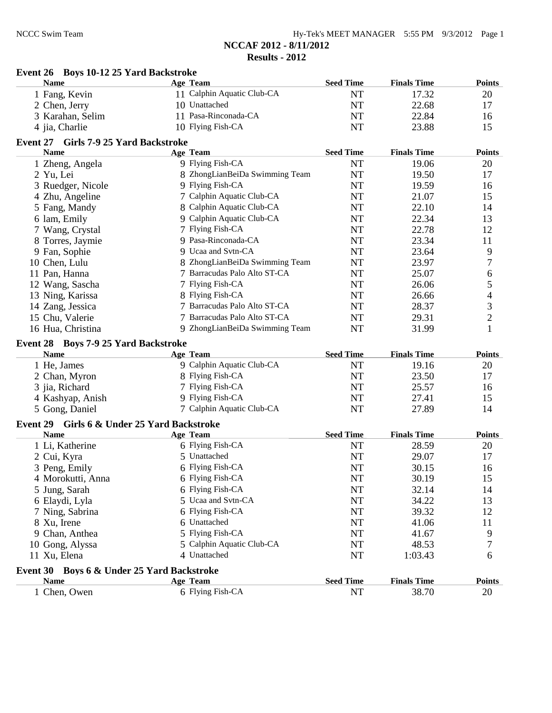| Hy-Tek's MEET MANAGER 5:55 PM 9/3/2012 Page 1 |  |  |  |
|-----------------------------------------------|--|--|--|
|-----------------------------------------------|--|--|--|

| Event 26 Boys 10-12 25 Yard Backstroke              |                                               |                  |                    |                |
|-----------------------------------------------------|-----------------------------------------------|------------------|--------------------|----------------|
| <b>Name</b>                                         | Age Team                                      | <b>Seed Time</b> | <b>Finals Time</b> | <b>Points</b>  |
| 1 Fang, Kevin                                       | 11 Calphin Aquatic Club-CA                    | <b>NT</b>        | 17.32              | 20             |
| 2 Chen, Jerry                                       | 10 Unattached                                 | <b>NT</b>        | 22.68              | 17             |
| 3 Karahan, Selim                                    | 11 Pasa-Rinconada-CA                          | <b>NT</b>        | 22.84              | 16             |
| 4 jia, Charlie                                      | 10 Flying Fish-CA                             | <b>NT</b>        | 23.88              | 15             |
| Event 27 Girls 7-9 25 Yard Backstroke               |                                               |                  |                    |                |
| <b>Name</b>                                         | <b>Age Team</b>                               | <b>Seed Time</b> | <b>Finals Time</b> | <b>Points</b>  |
| 1 Zheng, Angela                                     | 9 Flying Fish-CA                              | <b>NT</b>        | 19.06              | 20             |
| 2 Yu, Lei                                           | 8 ZhongLianBeiDa Swimming Team                | <b>NT</b>        | 19.50              | 17             |
| 3 Ruedger, Nicole                                   | 9 Flying Fish-CA                              | <b>NT</b>        | 19.59              | 16             |
| 4 Zhu, Angeline                                     | 7 Calphin Aquatic Club-CA                     | <b>NT</b>        | 21.07              | 15             |
| 5 Fang, Mandy                                       | 8 Calphin Aquatic Club-CA                     | <b>NT</b>        | 22.10              | 14             |
| 6 lam, Emily                                        | 9 Calphin Aquatic Club-CA                     | <b>NT</b>        | 22.34              | 13             |
| 7 Wang, Crystal                                     | 7 Flying Fish-CA                              | <b>NT</b>        | 22.78              | 12             |
| 8 Torres, Jaymie                                    | 9 Pasa-Rinconada-CA                           | <b>NT</b>        | 23.34              | 11             |
| 9 Fan, Sophie                                       | 9 Ucaa and Svtn-CA                            | <b>NT</b>        | 23.64              | 9              |
| 10 Chen, Lulu                                       | 8 ZhongLianBeiDa Swimming Team                | NT               | 23.97              | 7              |
| 11 Pan, Hanna                                       | 7 Barracudas Palo Alto ST-CA                  | NT               | 25.07              | 6              |
| 12 Wang, Sascha                                     | 7 Flying Fish-CA                              | NT               | 26.06              | 5              |
| 13 Ning, Karissa                                    | 8 Flying Fish-CA                              | NT               | 26.66              | 4              |
| 14 Zang, Jessica                                    | 7 Barracudas Palo Alto ST-CA                  | <b>NT</b>        | 28.37              | $\mathfrak{Z}$ |
| 15 Chu, Valerie                                     | 7 Barracudas Palo Alto ST-CA                  | <b>NT</b>        | 29.31              | $\overline{2}$ |
| 16 Hua, Christina                                   | 9 ZhongLianBeiDa Swimming Team                | <b>NT</b>        | 31.99              | 1              |
|                                                     |                                               |                  |                    |                |
| Event 28 Boys 7-9 25 Yard Backstroke<br><b>Name</b> | Age Team                                      | <b>Seed Time</b> | <b>Finals Time</b> | <b>Points</b>  |
| 1 He, James                                         | 9 Calphin Aquatic Club-CA                     | <b>NT</b>        | 19.16              | 20             |
| 2 Chan, Myron                                       | 8 Flying Fish-CA                              | <b>NT</b>        | 23.50              | 17             |
| 3 jia, Richard                                      | 7 Flying Fish-CA                              | NT               | 25.57              | 16             |
| 4 Kashyap, Anish                                    | 9 Flying Fish-CA                              | NT               | 27.41              | 15             |
| 5 Gong, Daniel                                      | 7 Calphin Aquatic Club-CA                     | <b>NT</b>        | 27.89              | 14             |
|                                                     |                                               |                  |                    |                |
| Event 29                                            | <b>Girls 6 &amp; Under 25 Yard Backstroke</b> |                  |                    |                |
| <b>Name</b>                                         | Age Team                                      | <b>Seed Time</b> | <b>Finals Time</b> | <b>Points</b>  |
| 1 Li, Katherine                                     | 6 Flying Fish-CA                              | NT               | 28.59              | 20             |
| 2 Cui, Kyra                                         | 5 Unattached                                  | <b>NT</b>        | 29.07              | 17             |
| 3 Peng, Emily                                       | 6 Flying Fish-CA                              | <b>NT</b>        | 30.15              | 16             |
| 4 Morokutti, Anna                                   | 6 Flying Fish-CA                              | NT               | 30.19              | 15             |
| 5 Jung, Sarah                                       | 6 Flying Fish-CA                              | NT               | 32.14              | 14             |
| 6 Elaydi, Lyla                                      | 5 Ucaa and Svtn-CA                            | NT               | 34.22              | 13             |
| 7 Ning, Sabrina                                     | 6 Flying Fish-CA                              | NT               | 39.32              | 12             |
| 8 Xu, Irene                                         | 6 Unattached                                  | NT               | 41.06              | 11             |
| 9 Chan, Anthea                                      | 5 Flying Fish-CA                              | <b>NT</b>        | 41.67              | 9              |
| 10 Gong, Alyssa                                     | 5 Calphin Aquatic Club-CA                     | NT               | 48.53              | 7              |
| 11 Xu, Elena                                        | 4 Unattached                                  | NT               | 1:03.43            | 6              |
| Event 30 Boys 6 & Under 25 Yard Backstroke          |                                               |                  |                    |                |
| <b>Name</b>                                         | <b>Age Team</b>                               | <b>Seed Time</b> | <b>Finals Time</b> | <b>Points</b>  |
| 1 Chen, Owen                                        | 6 Flying Fish-CA                              | NT               | 38.70              | 20             |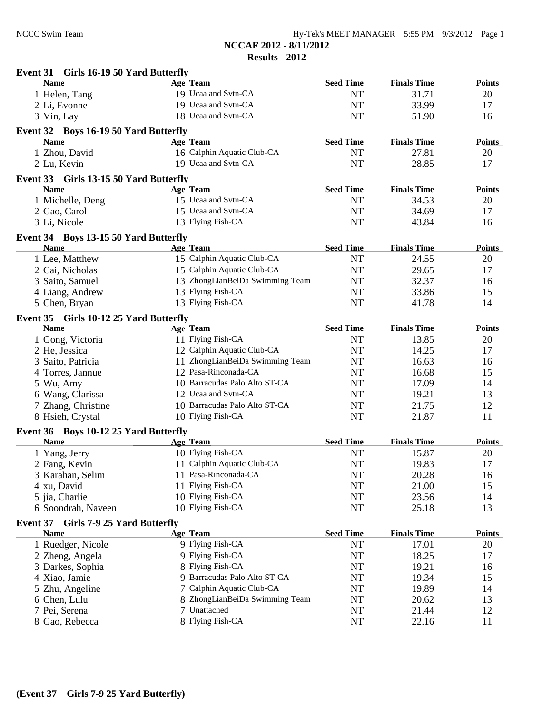| Event 31 Girls 16-19 50 Yard Butterfly                               |                                 |                  |                    |               |
|----------------------------------------------------------------------|---------------------------------|------------------|--------------------|---------------|
| <b>Name</b>                                                          | Age Team                        | <b>Seed Time</b> | <b>Finals Time</b> | <b>Points</b> |
| 1 Helen, Tang                                                        | 19 Ucaa and Svtn-CA             | <b>NT</b>        | 31.71              | 20            |
| 2 Li, Evonne                                                         | 19 Ucaa and Svtn-CA             | NT               | 33.99              | 17            |
| 3 Vin, Lay                                                           | 18 Ucaa and Svtn-CA             | <b>NT</b>        | 51.90              | 16            |
| Event 32 Boys 16-19 50 Yard Butterfly                                |                                 |                  |                    |               |
| <b>Name</b>                                                          | Age Team                        | <b>Seed Time</b> | <b>Finals Time</b> | <b>Points</b> |
| 1 Zhou, David                                                        | 16 Calphin Aquatic Club-CA      | NT               | 27.81              | 20            |
| 2 Lu, Kevin                                                          | 19 Ucaa and Svtn-CA             | <b>NT</b>        | 28.85              | 17            |
| Event 33 Girls 13-15 50 Yard Butterfly                               |                                 |                  |                    |               |
| <b>Name</b>                                                          | Age Team                        | <b>Seed Time</b> | <b>Finals Time</b> | <b>Points</b> |
| 1 Michelle, Deng                                                     | 15 Ucaa and Svtn-CA             | NT               | 34.53              | 20            |
| 2 Gao, Carol                                                         | 15 Ucaa and Svtn-CA             | <b>NT</b>        | 34.69              | 17            |
| 3 Li, Nicole                                                         | 13 Flying Fish-CA               | <b>NT</b>        | 43.84              | 16            |
| Event 34 Boys 13-15 50 Yard Butterfly                                |                                 |                  |                    |               |
| <b>Name</b>                                                          | Age Team                        | <b>Seed Time</b> | <b>Finals Time</b> | <b>Points</b> |
| 1 Lee, Matthew                                                       | 15 Calphin Aquatic Club-CA      | <b>NT</b>        | 24.55              | 20            |
| 2 Cai, Nicholas                                                      | 15 Calphin Aquatic Club-CA      | <b>NT</b>        | 29.65              | 17            |
| 3 Saito, Samuel                                                      | 13 ZhongLianBeiDa Swimming Team | NT               | 32.37              | 16            |
| 4 Liang, Andrew                                                      | 13 Flying Fish-CA               | <b>NT</b>        | 33.86              | 15            |
| 5 Chen, Bryan                                                        | 13 Flying Fish-CA               | <b>NT</b>        | 41.78              | 14            |
| Event 35 Girls 10-12 25 Yard Butterfly                               |                                 |                  |                    |               |
| <b>Name</b>                                                          | <b>Age Team</b>                 | <b>Seed Time</b> | <b>Finals Time</b> | <b>Points</b> |
| 1 Gong, Victoria                                                     | 11 Flying Fish-CA               | NT               | 13.85              | 20            |
| 2 He, Jessica                                                        | 12 Calphin Aquatic Club-CA      | <b>NT</b>        | 14.25              | 17            |
| 3 Saito, Patricia                                                    | 11 ZhongLianBeiDa Swimming Team | <b>NT</b>        | 16.63              | 16            |
| 4 Torres, Jannue                                                     | 12 Pasa-Rinconada-CA            | <b>NT</b>        | 16.68              | 15            |
| 5 Wu, Amy                                                            | 10 Barracudas Palo Alto ST-CA   | <b>NT</b>        | 17.09              | 14            |
| 6 Wang, Clarissa                                                     | 12 Ucaa and Svtn-CA             | <b>NT</b>        | 19.21              | 13            |
| 7 Zhang, Christine                                                   | 10 Barracudas Palo Alto ST-CA   | <b>NT</b>        | 21.75              | 12            |
| 8 Hsieh, Crystal                                                     | 10 Flying Fish-CA               | <b>NT</b>        | 21.87              | 11            |
|                                                                      |                                 |                  |                    |               |
| Event 36 Boys 10-12 25 Yard Butterfly<br><b>Name</b>                 | <b>Age Team</b>                 | <b>Seed Time</b> | <b>Finals Time</b> | <b>Points</b> |
| 1 Yang, Jerry                                                        | 10 Flying Fish-CA               | <b>NT</b>        | 15.87              | 20            |
| 2 Fang, Kevin                                                        | 11 Calphin Aquatic Club-CA      | <b>NT</b>        | 19.83              | 17            |
| 3 Karahan, Selim                                                     | 11 Pasa-Rinconada-CA            | NT               | 20.28              | 16            |
| 4 xu, David                                                          | 11 Flying Fish-CA               | NT               | 21.00              | 15            |
| 5 jia, Charlie                                                       | 10 Flying Fish-CA               | NT               | 23.56              | 14            |
| 6 Soondrah, Naveen                                                   | 10 Flying Fish-CA               | NT               | 25.18              | 13            |
|                                                                      |                                 |                  |                    |               |
| <b>Girls 7-9 25 Yard Butterfly</b><br><b>Event 37</b><br><b>Name</b> | <b>Age Team</b>                 | <b>Seed Time</b> | <b>Finals Time</b> | <b>Points</b> |
| 1 Ruedger, Nicole                                                    | 9 Flying Fish-CA                | <b>NT</b>        | 17.01              | 20            |
| 2 Zheng, Angela                                                      | 9 Flying Fish-CA                | NT               | 18.25              | 17            |
| 3 Darkes, Sophia                                                     | 8 Flying Fish-CA                | NT               | 19.21              | 16            |
| 4 Xiao, Jamie                                                        | 9 Barracudas Palo Alto ST-CA    | NT               | 19.34              | 15            |
| 5 Zhu, Angeline                                                      | 7 Calphin Aquatic Club-CA       | NT               | 19.89              | 14            |
| 6 Chen, Lulu                                                         | 8 ZhongLianBeiDa Swimming Team  | NT               | 20.62              | 13            |
| 7 Pei, Serena                                                        | 7 Unattached                    | NT               | 21.44              | 12            |
| 8 Gao, Rebecca                                                       | 8 Flying Fish-CA                | NT               | 22.16              | 11            |
|                                                                      |                                 |                  |                    |               |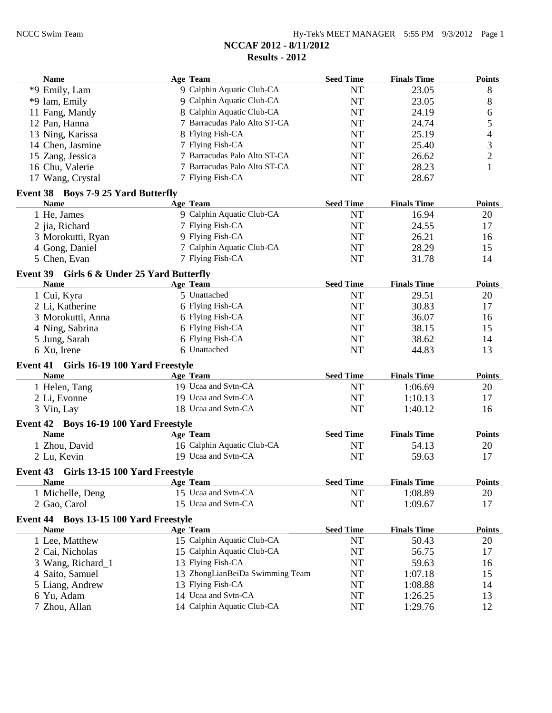|                 | <b>Name</b>                                            | Age Team                                          | <b>Seed Time</b>       | <b>Finals Time</b> | <b>Points</b>  |
|-----------------|--------------------------------------------------------|---------------------------------------------------|------------------------|--------------------|----------------|
|                 | *9 Emily, Lam                                          | 9 Calphin Aquatic Club-CA                         | <b>NT</b>              | 23.05              | 8              |
|                 | *9 lam, Emily                                          | 9 Calphin Aquatic Club-CA                         | <b>NT</b>              | 23.05              | 8              |
|                 | 11 Fang, Mandy                                         | 8 Calphin Aquatic Club-CA                         | <b>NT</b>              | 24.19              | 6              |
|                 | 12 Pan, Hanna                                          | 7 Barracudas Palo Alto ST-CA                      | <b>NT</b>              | 24.74              | 5              |
|                 | 13 Ning, Karissa                                       | 8 Flying Fish-CA                                  | <b>NT</b>              | 25.19              | 4              |
|                 | 14 Chen, Jasmine                                       | 7 Flying Fish-CA                                  | <b>NT</b>              | 25.40              | 3              |
|                 | 15 Zang, Jessica                                       | 7 Barracudas Palo Alto ST-CA                      | <b>NT</b>              | 26.62              | $\overline{c}$ |
|                 | 16 Chu, Valerie                                        | 7 Barracudas Palo Alto ST-CA                      | NT                     | 28.23              | $\mathbf{1}$   |
|                 | 17 Wang, Crystal                                       | 7 Flying Fish-CA                                  | <b>NT</b>              | 28.67              |                |
|                 | Event 38 Boys 7-9 25 Yard Butterfly                    |                                                   |                        |                    |                |
|                 | <b>Name</b>                                            | Age Team                                          | <b>Seed Time</b>       | <b>Finals Time</b> | <b>Points</b>  |
|                 | 1 He, James                                            | 9 Calphin Aquatic Club-CA                         | <b>NT</b>              | 16.94              | 20             |
|                 | 2 jia, Richard                                         | 7 Flying Fish-CA                                  | NT                     | 24.55              | 17             |
|                 | 3 Morokutti, Ryan                                      | 9 Flying Fish-CA                                  | <b>NT</b>              | 26.21              | 16             |
|                 | 4 Gong, Daniel                                         | 7 Calphin Aquatic Club-CA                         | <b>NT</b>              | 28.29              | 15             |
|                 | 5 Chen, Evan                                           | 7 Flying Fish-CA                                  | <b>NT</b>              | 31.78              | 14             |
|                 | Event 39 Girls 6 & Under 25 Yard Butterfly             |                                                   |                        |                    |                |
|                 | <b>Name</b>                                            | <b>Age Team</b>                                   | <b>Seed Time</b>       | <b>Finals Time</b> | <b>Points</b>  |
|                 | 1 Cui, Kyra                                            | 5 Unattached                                      | <b>NT</b>              | 29.51              | 20             |
|                 | 2 Li, Katherine                                        | 6 Flying Fish-CA                                  | <b>NT</b>              | 30.83              | 17             |
|                 | 3 Morokutti, Anna                                      | 6 Flying Fish-CA                                  | <b>NT</b>              | 36.07              | 16             |
|                 | 4 Ning, Sabrina                                        | 6 Flying Fish-CA                                  | <b>NT</b>              | 38.15              | 15             |
|                 | 5 Jung, Sarah                                          | 6 Flying Fish-CA                                  | <b>NT</b>              | 38.62              | 14             |
|                 | 6 Xu, Irene                                            | 6 Unattached                                      | NT                     | 44.83              | 13             |
|                 |                                                        |                                                   |                        |                    |                |
|                 | Event 41 Girls 16-19 100 Yard Freestyle                |                                                   |                        |                    |                |
|                 | <b>Name</b>                                            | <b>Age Team</b>                                   | <b>Seed Time</b>       | <b>Finals Time</b> | <b>Points</b>  |
|                 | 1 Helen, Tang                                          | 19 Ucaa and Svtn-CA                               | NT                     | 1:06.69            | 20             |
|                 | 2 Li, Evonne                                           | 19 Ucaa and Svtn-CA                               | <b>NT</b>              | 1:10.13            | 17             |
|                 | 3 Vin, Lay                                             | 18 Ucaa and Svtn-CA                               | <b>NT</b>              | 1:40.12            | 16             |
| <b>Event 42</b> | <b>Boys 16-19 100 Yard Freestyle</b>                   |                                                   |                        |                    |                |
|                 | <b>Name</b>                                            |                                                   |                        |                    |                |
|                 |                                                        | Age Team                                          | <b>Seed Time</b>       | <b>Finals Time</b> | <b>Points</b>  |
|                 | 1 Zhou, David                                          | 16 Calphin Aquatic Club-CA                        | <b>NT</b>              | 54.13              | 20             |
|                 | 2 Lu, Kevin                                            | 19 Ucaa and Svtn-CA                               | <b>NT</b>              | 59.63              | 17             |
|                 |                                                        |                                                   |                        |                    |                |
|                 | Event 43 Girls 13-15 100 Yard Freestyle<br><b>Name</b> | Age Team                                          | <b>Seed Time</b>       | <b>Finals Time</b> | <b>Points</b>  |
|                 | 1 Michelle, Deng                                       | 15 Ucaa and Svtn-CA                               | NT                     | 1:08.89            | 20             |
|                 | 2 Gao, Carol                                           | 15 Ucaa and Svtn-CA                               | $\rm{NT}$              | 1:09.67            | 17             |
|                 |                                                        |                                                   |                        |                    |                |
|                 | Event 44 Boys 13-15 100 Yard Freestyle                 |                                                   |                        |                    |                |
|                 | <b>Name</b>                                            | <b>Age Team</b>                                   | <b>Seed Time</b>       | <b>Finals Time</b> | <b>Points</b>  |
|                 | 1 Lee, Matthew                                         | 15 Calphin Aquatic Club-CA                        | <b>NT</b>              | 50.43              | 20             |
|                 | 2 Cai, Nicholas                                        | 15 Calphin Aquatic Club-CA                        | NT                     | 56.75              | 17             |
|                 | 3 Wang, Richard_1                                      | 13 Flying Fish-CA                                 | NT                     | 59.63              | 16             |
|                 | 4 Saito, Samuel                                        | 13 ZhongLianBeiDa Swimming Team                   | NT                     | 1:07.18            | 15             |
|                 | 5 Liang, Andrew                                        | 13 Flying Fish-CA                                 | NT                     | 1:08.88            | 14             |
|                 | 6 Yu, Adam<br>7 Zhou, Allan                            | 14 Ucaa and Svtn-CA<br>14 Calphin Aquatic Club-CA | $\rm{NT}$<br>$\rm{NT}$ | 1:26.25<br>1:29.76 | 13<br>12       |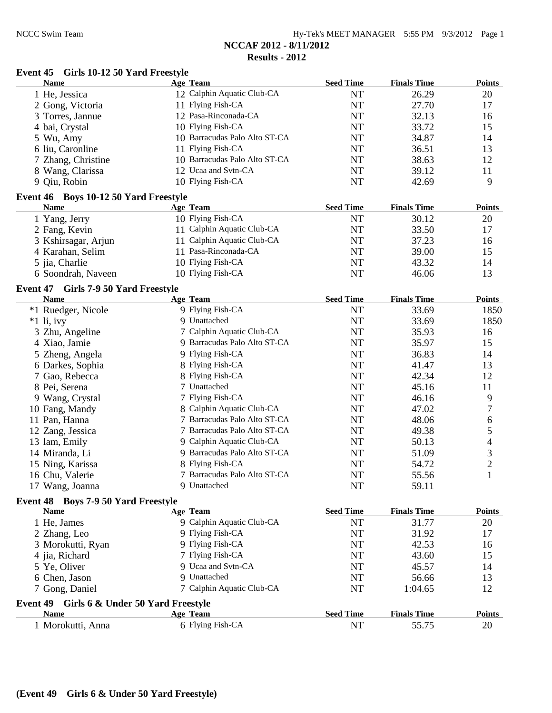# **Event 45 Girls 10-12 50 Yard Freestyle**

| <b>Name</b>                                          | <b>Age Team</b>               | <b>Seed Time</b> | <b>Finals Time</b> | <b>Points</b>    |
|------------------------------------------------------|-------------------------------|------------------|--------------------|------------------|
| 1 He, Jessica                                        | 12 Calphin Aquatic Club-CA    | <b>NT</b>        | 26.29              | 20               |
| 2 Gong, Victoria                                     | 11 Flying Fish-CA             | <b>NT</b>        | 27.70              | 17               |
| 3 Torres, Jannue                                     | 12 Pasa-Rinconada-CA          | <b>NT</b>        | 32.13              | 16               |
| 4 bai, Crystal                                       | 10 Flying Fish-CA             | <b>NT</b>        | 33.72              | 15               |
| 5 Wu, Amy                                            | 10 Barracudas Palo Alto ST-CA | <b>NT</b>        | 34.87              | 14               |
| 6 liu, Caronline                                     | 11 Flying Fish-CA             | <b>NT</b>        | 36.51              | 13               |
| 7 Zhang, Christine                                   | 10 Barracudas Palo Alto ST-CA | <b>NT</b>        | 38.63              | 12               |
| 8 Wang, Clarissa                                     | 12 Ucaa and Svtn-CA           | NT               | 39.12              | 11               |
| 9 Qiu, Robin                                         | 10 Flying Fish-CA             | NT               | 42.69              | 9                |
| Event 46 Boys 10-12 50 Yard Freestyle                |                               |                  |                    |                  |
| <b>Name</b>                                          | <b>Age Team</b>               | <b>Seed Time</b> | <b>Finals Time</b> | <b>Points</b>    |
| 1 Yang, Jerry                                        | 10 Flying Fish-CA             | <b>NT</b>        | 30.12              | 20               |
| 2 Fang, Kevin                                        | 11 Calphin Aquatic Club-CA    | <b>NT</b>        | 33.50              | 17               |
| 3 Kshirsagar, Arjun                                  | 11 Calphin Aquatic Club-CA    | <b>NT</b>        | 37.23              | 16               |
| 4 Karahan, Selim                                     | 11 Pasa-Rinconada-CA          | <b>NT</b>        | 39.00              | 15               |
| 5 jia, Charlie                                       | 10 Flying Fish-CA             | <b>NT</b>        | 43.32              | 14               |
| 6 Soondrah, Naveen                                   | 10 Flying Fish-CA             | NT               | 46.06              | 13               |
| <b>Event 47</b><br>Girls 7-9 50 Yard Freestyle       |                               |                  |                    |                  |
| <b>Name</b>                                          | <b>Age Team</b>               | <b>Seed Time</b> | <b>Finals Time</b> | <b>Points</b>    |
| *1 Ruedger, Nicole                                   | 9 Flying Fish-CA              | <b>NT</b>        | 33.69              | 1850             |
| $*1$ li, ivy                                         | 9 Unattached                  | NT               | 33.69              | 1850             |
| 3 Zhu, Angeline                                      | 7 Calphin Aquatic Club-CA     | <b>NT</b>        | 35.93              | 16               |
| 4 Xiao, Jamie                                        | 9 Barracudas Palo Alto ST-CA  | <b>NT</b>        | 35.97              | 15               |
| 5 Zheng, Angela                                      | 9 Flying Fish-CA              | <b>NT</b>        | 36.83              | 14               |
| 6 Darkes, Sophia                                     | 8 Flying Fish-CA              | <b>NT</b>        | 41.47              | 13               |
| 7 Gao, Rebecca                                       | 8 Flying Fish-CA              | NT               | 42.34              | 12               |
| 8 Pei, Serena                                        | 7 Unattached                  | NT               | 45.16              | 11               |
| 9 Wang, Crystal                                      | 7 Flying Fish-CA              | NT               | 46.16              | 9                |
| 10 Fang, Mandy                                       | 8 Calphin Aquatic Club-CA     | NT               | 47.02              | 7                |
| 11 Pan, Hanna                                        | 7 Barracudas Palo Alto ST-CA  | NT               | 48.06              | $\boldsymbol{6}$ |
| 12 Zang, Jessica                                     | 7 Barracudas Palo Alto ST-CA  | <b>NT</b>        | 49.38              | 5                |
| 13 lam, Emily                                        | 9 Calphin Aquatic Club-CA     | NT               | 50.13              | 4                |
| 14 Miranda, Li                                       | 9 Barracudas Palo Alto ST-CA  | NT               | 51.09              | 3                |
| 15 Ning, Karissa                                     | 8 Flying Fish-CA              | NT               | 54.72              | $\overline{c}$   |
| 16 Chu, Valerie                                      | 7 Barracudas Palo Alto ST-CA  | <b>NT</b>        | 55.56              | $\mathbf{1}$     |
| 17 Wang, Joanna                                      | 9 Unattached                  | NT               | 59.11              |                  |
| Event 48 Boys 7-9 50 Yard Freestyle                  |                               |                  |                    |                  |
| <b>Name</b>                                          | Age Team                      | <b>Seed Time</b> | <b>Finals Time</b> | <b>Points</b>    |
| 1 He, James                                          | 9 Calphin Aquatic Club-CA     | NT               | 31.77              | 20               |
| 2 Zhang, Leo                                         | 9 Flying Fish-CA              | NT               | 31.92              | 17               |
| 3 Morokutti, Ryan                                    | 9 Flying Fish-CA              | NT               | 42.53              | 16               |
| 4 jia, Richard                                       | 7 Flying Fish-CA              | <b>NT</b>        | 43.60              | 15               |
| 5 Ye, Oliver                                         | 9 Ucaa and Svtn-CA            | <b>NT</b>        | 45.57              | 14               |
| 6 Chen, Jason                                        | 9 Unattached                  | NT               | 56.66              | 13               |
| 7 Gong, Daniel                                       | 7 Calphin Aquatic Club-CA     | NT               | 1:04.65            | 12               |
| <b>Event 49</b><br>Girls 6 & Under 50 Yard Freestyle |                               |                  |                    |                  |
| <b>Name</b>                                          | <b>Age Team</b>               | <b>Seed Time</b> | <b>Finals Time</b> | <b>Points</b>    |
| 1 Morokutti, Anna                                    | 6 Flying Fish-CA              | <b>NT</b>        | 55.75              | 20               |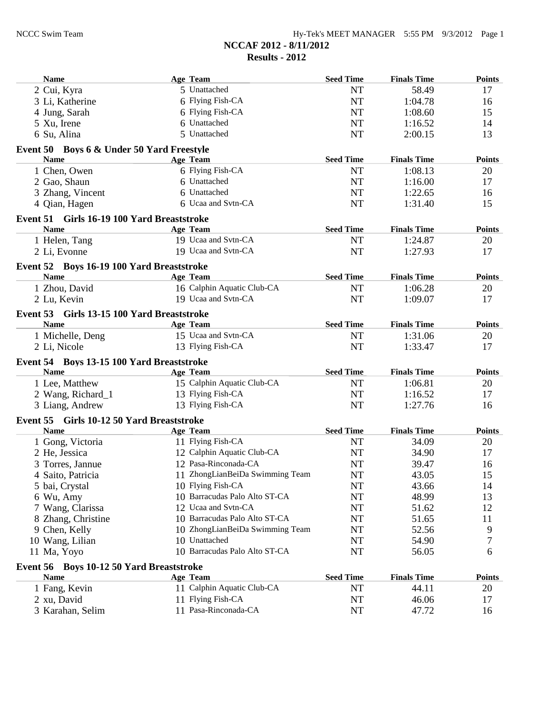| <b>Name</b>                                              | Age Team                        | <b>Seed Time</b> | <b>Finals Time</b> | <b>Points</b> |
|----------------------------------------------------------|---------------------------------|------------------|--------------------|---------------|
| 2 Cui, Kyra                                              | 5 Unattached                    | <b>NT</b>        | 58.49              | 17            |
| 3 Li, Katherine                                          | 6 Flying Fish-CA                | <b>NT</b>        | 1:04.78            | 16            |
| 4 Jung, Sarah                                            | 6 Flying Fish-CA                | <b>NT</b>        | 1:08.60            | 15            |
| 5 Xu, Irene                                              | 6 Unattached                    | <b>NT</b>        | 1:16.52            | 14            |
| 6 Su, Alina                                              | 5 Unattached                    | <b>NT</b>        | 2:00.15            | 13            |
| Event 50 Boys 6 & Under 50 Yard Freestyle                |                                 |                  |                    |               |
| <b>Name</b>                                              | Age Team                        | <b>Seed Time</b> | <b>Finals Time</b> | <b>Points</b> |
| 1 Chen, Owen                                             | 6 Flying Fish-CA                | <b>NT</b>        | 1:08.13            | 20            |
| 2 Gao, Shaun                                             | 6 Unattached                    | NT               | 1:16.00            | 17            |
| 3 Zhang, Vincent                                         | 6 Unattached                    | NT               | 1:22.65            | 16            |
| 4 Qian, Hagen                                            | 6 Ucaa and Svtn-CA              | <b>NT</b>        | 1:31.40            | 15            |
| Event 51 Girls 16-19 100 Yard Breaststroke               |                                 |                  |                    |               |
| <b>Name</b>                                              | Age Team                        | <b>Seed Time</b> | <b>Finals Time</b> | <b>Points</b> |
| 1 Helen, Tang                                            | 19 Ucaa and Svtn-CA             | <b>NT</b>        | 1:24.87            | 20            |
| 2 Li, Evonne                                             | 19 Ucaa and Svtn-CA             | <b>NT</b>        | 1:27.93            | 17            |
| Event 52 Boys 16-19 100 Yard Breaststroke                |                                 |                  |                    |               |
| <b>Name</b>                                              | Age Team                        | <b>Seed Time</b> | <b>Finals Time</b> | <b>Points</b> |
| 1 Zhou, David                                            | 16 Calphin Aquatic Club-CA      | NT               | 1:06.28            | 20            |
| 2 Lu, Kevin                                              | 19 Ucaa and Svtn-CA             | <b>NT</b>        | 1:09.07            | 17            |
| Event 53 Girls 13-15 100 Yard Breaststroke               |                                 |                  |                    |               |
| <b>Name</b>                                              | Age Team                        | <b>Seed Time</b> | <b>Finals Time</b> | <b>Points</b> |
| 1 Michelle, Deng                                         | 15 Ucaa and Svtn-CA             | <b>NT</b>        | 1:31.06            | 20            |
| 2 Li, Nicole                                             | 13 Flying Fish-CA               | <b>NT</b>        | 1:33.47            | 17            |
|                                                          |                                 |                  |                    |               |
| Event 54 Boys 13-15 100 Yard Breaststroke<br><b>Name</b> | Age Team                        | <b>Seed Time</b> | <b>Finals Time</b> | <b>Points</b> |
| 1 Lee, Matthew                                           | 15 Calphin Aquatic Club-CA      | <b>NT</b>        | 1:06.81            | 20            |
| 2 Wang, Richard_1                                        | 13 Flying Fish-CA               | <b>NT</b>        | 1:16.52            | 17            |
| 3 Liang, Andrew                                          | 13 Flying Fish-CA               | <b>NT</b>        | 1:27.76            | 16            |
|                                                          |                                 |                  |                    |               |
| Event 55 Girls 10-12 50 Yard Breaststroke<br><b>Name</b> | Age Team                        | <b>Seed Time</b> | <b>Finals Time</b> | <b>Points</b> |
| 1 Gong, Victoria                                         | 11 Flying Fish-CA               | NT               | 34.09              | 20            |
| 2 He, Jessica                                            | 12 Calphin Aquatic Club-CA      | <b>NT</b>        | 34.90              | 17            |
| 3 Torres, Jannue                                         | 12 Pasa-Rinconada-CA            | <b>NT</b>        | 39.47              | 16            |
| 4 Saito, Patricia                                        | 11 ZhongLianBeiDa Swimming Team | NT               | 43.05              | 15            |
| 5 bai, Crystal                                           | 10 Flying Fish-CA               | NT               | 43.66              | 14            |
| 6 Wu, Amy                                                | 10 Barracudas Palo Alto ST-CA   | NT               | 48.99              | 13            |
| 7 Wang, Clarissa                                         | 12 Ucaa and Svtn-CA             | NT               | 51.62              | 12            |
| 8 Zhang, Christine                                       | 10 Barracudas Palo Alto ST-CA   | NT               | 51.65              | 11            |
| 9 Chen, Kelly                                            | 10 ZhongLianBeiDa Swimming Team | NT               | 52.56              |               |
|                                                          | 10 Unattached                   |                  | 54.90              | 9             |
| 10 Wang, Lilian<br>11 Ma, Yoyo                           | 10 Barracudas Palo Alto ST-CA   | NT<br>NT         | 56.05              | 7             |
|                                                          |                                 |                  |                    | 6             |
| Event 56 Boys 10-12 50 Yard Breaststroke                 |                                 |                  |                    |               |
| <b>Name</b>                                              | Age Team                        | <b>Seed Time</b> | <b>Finals Time</b> | <b>Points</b> |
| 1 Fang, Kevin                                            | 11 Calphin Aquatic Club-CA      | NT               | 44.11              | 20            |
| 2 xu, David                                              | 11 Flying Fish-CA               | NT               | 46.06              | 17            |
| 3 Karahan, Selim                                         | 11 Pasa-Rinconada-CA            | NT               | 47.72              | 16            |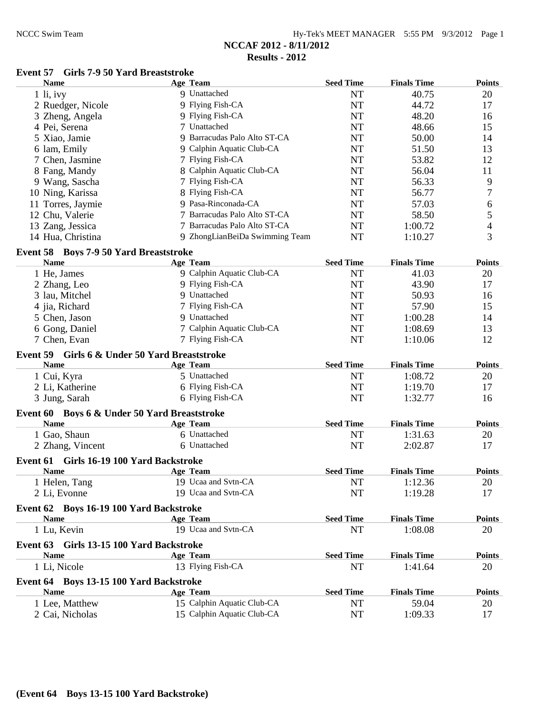| Hy-Tek's MEET MANAGER 5:55 PM 9/3/2012 Page 1 |  |  |  |
|-----------------------------------------------|--|--|--|
|-----------------------------------------------|--|--|--|

#### **Event 57 Girls 7-9 50 Yard Breaststroke**

|          | <b>Name</b>                                  | <b>Age Team</b>                | <b>Seed Time</b> | <b>Finals Time</b> | <b>Points</b> |
|----------|----------------------------------------------|--------------------------------|------------------|--------------------|---------------|
|          | $1$ li, ivy                                  | 9 Unattached                   | NT               | 40.75              | 20            |
|          | 2 Ruedger, Nicole                            | 9 Flying Fish-CA               | <b>NT</b>        | 44.72              | 17            |
|          | 3 Zheng, Angela                              | 9 Flying Fish-CA               | <b>NT</b>        | 48.20              | 16            |
|          | 4 Pei, Serena                                | 7 Unattached                   | <b>NT</b>        | 48.66              | 15            |
|          | 5 Xiao, Jamie                                | 9 Barracudas Palo Alto ST-CA   | <b>NT</b>        | 50.00              | 14            |
|          | 6 lam, Emily                                 | 9 Calphin Aquatic Club-CA      | <b>NT</b>        | 51.50              | 13            |
|          | 7 Chen, Jasmine                              | 7 Flying Fish-CA               | <b>NT</b>        | 53.82              | 12            |
|          | 8 Fang, Mandy                                | 8 Calphin Aquatic Club-CA      | <b>NT</b>        | 56.04              | 11            |
|          | 9 Wang, Sascha                               | 7 Flying Fish-CA               | <b>NT</b>        | 56.33              | 9             |
|          | 10 Ning, Karissa                             | 8 Flying Fish-CA               | <b>NT</b>        | 56.77              | 7             |
|          | 11 Torres, Jaymie                            | 9 Pasa-Rinconada-CA            | <b>NT</b>        | 57.03              | 6             |
|          | 12 Chu, Valerie                              | 7 Barracudas Palo Alto ST-CA   | <b>NT</b>        | 58.50              | 5             |
|          | 13 Zang, Jessica                             | 7 Barracudas Palo Alto ST-CA   | <b>NT</b>        | 1:00.72            | 4             |
|          | 14 Hua, Christina                            | 9 ZhongLianBeiDa Swimming Team | <b>NT</b>        | 1:10.27            | 3             |
|          |                                              |                                |                  |                    |               |
|          | Event 58 Boys 7-9 50 Yard Breaststroke       |                                |                  |                    |               |
|          | <b>Name</b>                                  | <b>Age Team</b>                | <b>Seed Time</b> | <b>Finals Time</b> | <b>Points</b> |
|          | 1 He, James                                  | 9 Calphin Aquatic Club-CA      | <b>NT</b>        | 41.03              | 20            |
|          | 2 Zhang, Leo                                 | 9 Flying Fish-CA               | <b>NT</b>        | 43.90              | 17            |
|          | 3 lau, Mitchel                               | 9 Unattached                   | <b>NT</b>        | 50.93              | 16            |
|          | 4 jia, Richard                               | 7 Flying Fish-CA               | <b>NT</b>        | 57.90              | 15            |
|          | 5 Chen, Jason                                | 9 Unattached                   | <b>NT</b>        | 1:00.28            | 14            |
|          | 6 Gong, Daniel                               | 7 Calphin Aquatic Club-CA      | <b>NT</b>        | 1:08.69            | 13            |
|          | 7 Chen, Evan                                 | 7 Flying Fish-CA               | <b>NT</b>        | 1:10.06            | 12            |
| Event 59 | Girls 6 & Under 50 Yard Breaststroke         |                                |                  |                    |               |
|          | <b>Name</b>                                  | <b>Age Team</b>                | <b>Seed Time</b> | <b>Finals Time</b> | <b>Points</b> |
|          | 1 Cui, Kyra                                  | 5 Unattached                   | <b>NT</b>        | 1:08.72            | 20            |
|          | 2 Li, Katherine                              | 6 Flying Fish-CA               | <b>NT</b>        | 1:19.70            | 17            |
|          | 3 Jung, Sarah                                | 6 Flying Fish-CA               | <b>NT</b>        | 1:32.77            | 16            |
|          |                                              |                                |                  |                    |               |
|          | Event 60 Boys 6 & Under 50 Yard Breaststroke |                                | <b>Seed Time</b> | <b>Finals Time</b> | <b>Points</b> |
|          | <b>Name</b>                                  | Age Team                       |                  |                    |               |
|          | 1 Gao, Shaun                                 | 6 Unattached                   | <b>NT</b>        | 1:31.63            | 20            |
|          | 2 Zhang, Vincent                             | 6 Unattached                   | <b>NT</b>        | 2:02.87            | 17            |
|          | Event 61 Girls 16-19 100 Yard Backstroke     |                                |                  |                    |               |
|          | <b>Name</b>                                  | <b>Age Team</b>                | <b>Seed Time</b> | <b>Finals Time</b> | <b>Points</b> |
|          | 1 Helen, Tang                                | 19 Ucaa and Svtn-CA            | <b>NT</b>        | 1:12.36            | 20            |
|          | 2 Li, Evonne                                 | 19 Ucaa and Svtn-CA            | NT               | 1:19.28            | 17            |
|          | Event 62 Boys 16-19 100 Yard Backstroke      |                                |                  |                    |               |
|          | <b>Name</b>                                  | <b>Age Team</b>                | <b>Seed Time</b> | <b>Finals Time</b> | <b>Points</b> |
|          | 1 Lu, Kevin                                  | 19 Ucaa and Svtn-CA            | <b>NT</b>        | 1:08.08            | 20            |
|          |                                              |                                |                  |                    |               |
|          | Event 63 Girls 13-15 100 Yard Backstroke     |                                |                  |                    |               |
|          | <b>Name</b>                                  | Age Team                       | <b>Seed Time</b> | <b>Finals Time</b> | <b>Points</b> |
|          | 1 Li, Nicole                                 | 13 Flying Fish-CA              | <b>NT</b>        | 1:41.64            | 20            |
|          | Event 64 Boys 13-15 100 Yard Backstroke      |                                |                  |                    |               |
|          | <b>Name</b>                                  | <b>Age Team</b>                | <b>Seed Time</b> | <b>Finals Time</b> | <b>Points</b> |
|          | 1 Lee, Matthew                               | 15 Calphin Aquatic Club-CA     | <b>NT</b>        | 59.04              | 20            |
|          | 2 Cai, Nicholas                              | 15 Calphin Aquatic Club-CA     | NT               | 1:09.33            | 17            |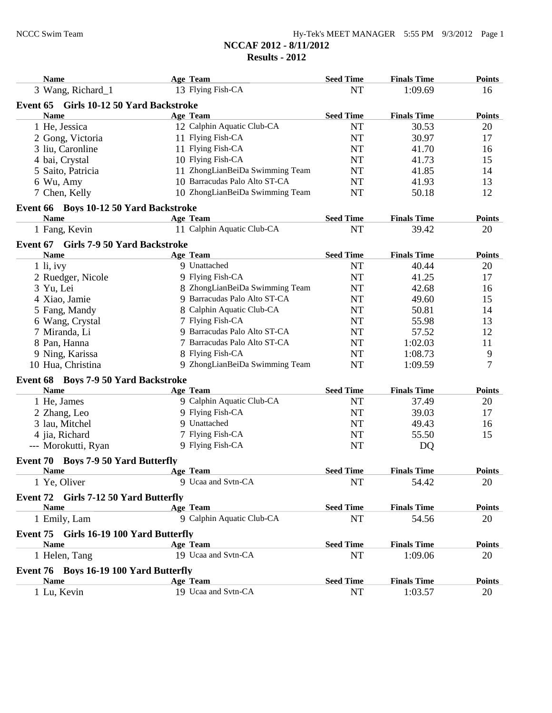| <b>Name</b>                                         | Age Team                        | <b>Seed Time</b> | <b>Finals Time</b> | <b>Points</b> |
|-----------------------------------------------------|---------------------------------|------------------|--------------------|---------------|
| 3 Wang, Richard_1                                   | 13 Flying Fish-CA               | <b>NT</b>        | 1:09.69            | 16            |
| Girls 10-12 50 Yard Backstroke<br>Event 65          |                                 |                  |                    |               |
| <b>Name</b>                                         | <b>Age Team</b>                 | <b>Seed Time</b> | <b>Finals Time</b> | <b>Points</b> |
| 1 He, Jessica                                       | 12 Calphin Aquatic Club-CA      | <b>NT</b>        | 30.53              | 20            |
| 2 Gong, Victoria                                    | 11 Flying Fish-CA               | <b>NT</b>        | 30.97              | 17            |
| 3 liu, Caronline                                    | 11 Flying Fish-CA               | <b>NT</b>        | 41.70              | 16            |
| 4 bai, Crystal                                      | 10 Flying Fish-CA               | <b>NT</b>        | 41.73              | 15            |
| 5 Saito, Patricia                                   | 11 ZhongLianBeiDa Swimming Team | NT               | 41.85              | 14            |
| 6 Wu, Amy                                           | 10 Barracudas Palo Alto ST-CA   | <b>NT</b>        | 41.93              | 13            |
| 7 Chen, Kelly                                       | 10 ZhongLianBeiDa Swimming Team | <b>NT</b>        | 50.18              | 12            |
| Event 66 Boys 10-12 50 Yard Backstroke              |                                 |                  |                    |               |
| <b>Name</b>                                         | <b>Age Team</b>                 | <b>Seed Time</b> | <b>Finals Time</b> | <b>Points</b> |
| 1 Fang, Kevin                                       | 11 Calphin Aquatic Club-CA      | <b>NT</b>        | 39.42              | 20            |
| Event 67 Girls 7-9 50 Yard Backstroke               |                                 |                  |                    |               |
| <b>Name</b>                                         | Age Team                        | <b>Seed Time</b> | <b>Finals Time</b> | <b>Points</b> |
| $1$ li, ivy                                         | 9 Unattached                    | <b>NT</b>        | 40.44              | 20            |
| 2 Ruedger, Nicole                                   | 9 Flying Fish-CA                | <b>NT</b>        | 41.25              | 17            |
| 3 Yu, Lei                                           | 8 ZhongLianBeiDa Swimming Team  | <b>NT</b>        | 42.68              | 16            |
| 4 Xiao, Jamie                                       | 9 Barracudas Palo Alto ST-CA    | <b>NT</b>        | 49.60              | 15            |
| 5 Fang, Mandy                                       | 8 Calphin Aquatic Club-CA       | <b>NT</b>        | 50.81              | 14            |
| 6 Wang, Crystal                                     | 7 Flying Fish-CA                | <b>NT</b>        | 55.98              | 13            |
| 7 Miranda, Li                                       | 9 Barracudas Palo Alto ST-CA    | NT               | 57.52              | 12            |
|                                                     | 7 Barracudas Palo Alto ST-CA    | NT               | 1:02.03            | 11            |
| 8 Pan, Hanna                                        | 8 Flying Fish-CA                | NT               | 1:08.73            | 9             |
| 9 Ning, Karissa<br>10 Hua, Christina                | 9 ZhongLianBeiDa Swimming Team  | <b>NT</b>        | 1:09.59            | 7             |
|                                                     |                                 |                  |                    |               |
| Event 68 Boys 7-9 50 Yard Backstroke<br><b>Name</b> |                                 |                  |                    |               |
|                                                     | Age Team                        | <b>Seed Time</b> | <b>Finals Time</b> | <b>Points</b> |
| 1 He, James                                         | 9 Calphin Aquatic Club-CA       | <b>NT</b>        | 37.49              | 20            |
| 2 Zhang, Leo                                        | 9 Flying Fish-CA                | NT               | 39.03              | 17            |
| 3 lau, Mitchel                                      | 9 Unattached                    | NT               | 49.43              | 16            |
| 4 jia, Richard                                      | 7 Flying Fish-CA                | NT               | 55.50              | 15            |
| --- Morokutti, Ryan                                 | 9 Flying Fish-CA                | <b>NT</b>        | DQ                 |               |
| Event 70 Boys 7-9 50 Yard Butterfly                 |                                 |                  |                    |               |
| <b>Name</b>                                         | Age Team                        | <b>Seed Time</b> | <b>Finals Time</b> | <b>Points</b> |
| 1 Ye, Oliver                                        | 9 Ucaa and Svtn-CA              | NT               | 54.42              | 20            |
| Event 72 Girls 7-12 50 Yard Butterfly               |                                 |                  |                    |               |
| <b>Name</b>                                         | Age Team                        | <b>Seed Time</b> | <b>Finals Time</b> | <b>Points</b> |
| 1 Emily, Lam                                        | 9 Calphin Aquatic Club-CA       | NT               | 54.56              | 20            |
| Event 75 Girls 16-19 100 Yard Butterfly             |                                 |                  |                    |               |
| <b>Name</b>                                         | Age Team                        | <b>Seed Time</b> | <b>Finals Time</b> | <b>Points</b> |
| 1 Helen, Tang                                       | 19 Ucaa and Svtn-CA             | NT               | 1:09.06            | 20            |
| Event 76 Boys 16-19 100 Yard Butterfly              |                                 |                  |                    |               |
| <b>Name</b>                                         | Age Team                        | <b>Seed Time</b> | <b>Finals Time</b> | <b>Points</b> |
| 1 Lu, Kevin                                         | 19 Ucaa and Svtn-CA             | NT               | 1:03.57            | 20            |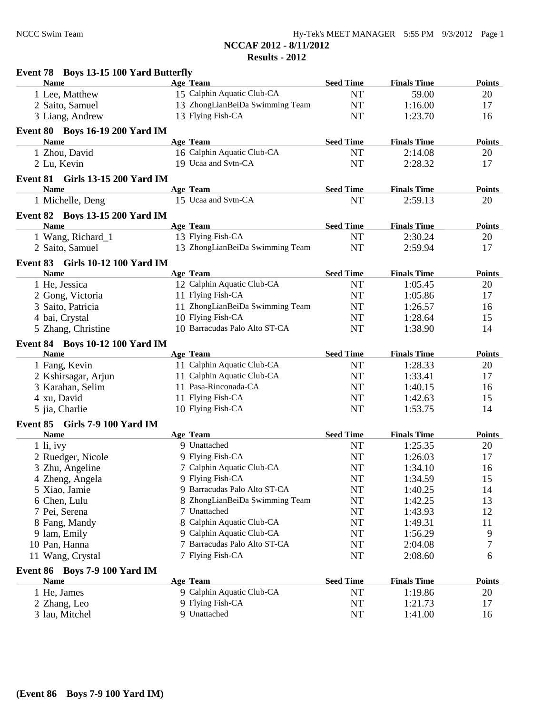| Event 78 Boys 13-15 100 Yard Butterfly          |                                 |                  |                    |               |
|-------------------------------------------------|---------------------------------|------------------|--------------------|---------------|
| <b>Name</b>                                     | Age Team                        | <b>Seed Time</b> | <b>Finals Time</b> | <b>Points</b> |
| 1 Lee, Matthew                                  | 15 Calphin Aquatic Club-CA      | <b>NT</b>        | 59.00              | 20            |
| 2 Saito, Samuel                                 | 13 ZhongLianBeiDa Swimming Team | <b>NT</b>        | 1:16.00            | 17            |
| 3 Liang, Andrew                                 | 13 Flying Fish-CA               | <b>NT</b>        | 1:23.70            | 16            |
| <b>Event 80 Boys 16-19 200 Yard IM</b>          |                                 |                  |                    |               |
| <b>Name</b>                                     | Age Team                        | <b>Seed Time</b> | <b>Finals Time</b> | <b>Points</b> |
| 1 Zhou, David                                   | 16 Calphin Aquatic Club-CA      | <b>NT</b>        | 2:14.08            | 20            |
| 2 Lu, Kevin                                     | 19 Ucaa and Svtn-CA             | NT               | 2:28.32            | 17            |
| <b>Event 81 Girls 13-15 200 Yard IM</b>         |                                 |                  |                    |               |
| <b>Name</b>                                     | Age Team                        | <b>Seed Time</b> | <b>Finals Time</b> | <b>Points</b> |
| 1 Michelle, Deng                                | 15 Ucaa and Svtn-CA             | <b>NT</b>        | 2:59.13            | 20            |
| <b>Event 82</b> Boys 13-15 200 Yard IM          |                                 |                  |                    |               |
| <b>Name</b>                                     | Age Team                        | <b>Seed Time</b> | <b>Finals Time</b> | <b>Points</b> |
| 1 Wang, Richard_1                               | 13 Flying Fish-CA               | <b>NT</b>        | 2:30.24            | 20            |
| 2 Saito, Samuel                                 | 13 ZhongLianBeiDa Swimming Team | <b>NT</b>        | 2:59.94            | 17            |
|                                                 |                                 |                  |                    |               |
| Event 83 Girls 10-12 100 Yard IM<br><b>Name</b> | <b>Age Team</b>                 | <b>Seed Time</b> | <b>Finals Time</b> | <b>Points</b> |
|                                                 | 12 Calphin Aquatic Club-CA      | <b>NT</b>        | 1:05.45            |               |
| 1 He, Jessica                                   | 11 Flying Fish-CA               |                  |                    | 20            |
| 2 Gong, Victoria                                |                                 | <b>NT</b>        | 1:05.86            | 17            |
| 3 Saito, Patricia                               | 11 ZhongLianBeiDa Swimming Team | NT               | 1:26.57            | 16            |
| 4 bai, Crystal                                  | 10 Flying Fish-CA               | <b>NT</b>        | 1:28.64            | 15            |
| 5 Zhang, Christine                              | 10 Barracudas Palo Alto ST-CA   | <b>NT</b>        | 1:38.90            | 14            |
| <b>Event 84 Boys 10-12 100 Yard IM</b>          |                                 |                  |                    |               |
| <b>Name</b>                                     | Age Team                        | <b>Seed Time</b> | <b>Finals Time</b> | <b>Points</b> |
| 1 Fang, Kevin                                   | 11 Calphin Aquatic Club-CA      | <b>NT</b>        | 1:28.33            | 20            |
| 2 Kshirsagar, Arjun                             | 11 Calphin Aquatic Club-CA      | NT               | 1:33.41            | 17            |
| 3 Karahan, Selim                                | 11 Pasa-Rinconada-CA            | NT               | 1:40.15            | 16            |
| 4 xu, David                                     | 11 Flying Fish-CA               | NT               | 1:42.63            | 15            |
| 5 jia, Charlie                                  | 10 Flying Fish-CA               | <b>NT</b>        | 1:53.75            | 14            |
| Event 85 Girls 7-9 100 Yard IM                  |                                 |                  |                    |               |
| <b>Name</b>                                     | Age Team                        | <b>Seed Time</b> | <b>Finals Time</b> | <b>Points</b> |
| $1$ li, ivy                                     | 9 Unattached                    | NT               | 1:25.35            | 20            |
| 2 Ruedger, Nicole                               | 9 Flying Fish-CA                | NT               | 1:26.03            | 17            |
| 3 Zhu, Angeline                                 | 7 Calphin Aquatic Club-CA       | $\rm{NT}$        | 1:34.10            | 16            |
| 4 Zheng, Angela                                 | 9 Flying Fish-CA                | NT               | 1:34.59            | 15            |
| 5 Xiao, Jamie                                   | 9 Barracudas Palo Alto ST-CA    | NT               | 1:40.25            | 14            |
| 6 Chen, Lulu                                    | 8 ZhongLianBeiDa Swimming Team  | NT               | 1:42.25            | 13            |
| 7 Pei, Serena                                   | 7 Unattached                    | NT               | 1:43.93            | 12            |
| 8 Fang, Mandy                                   | 8 Calphin Aquatic Club-CA       | NT               | 1:49.31            | 11            |
| 9 lam, Emily                                    | 9 Calphin Aquatic Club-CA       | NT               | 1:56.29            | 9             |
| 10 Pan, Hanna                                   | 7 Barracudas Palo Alto ST-CA    | NT               | 2:04.08            | 7             |
| 11 Wang, Crystal                                | 7 Flying Fish-CA                | NT               | 2:08.60            | 6             |
| Event 86 Boys 7-9 100 Yard IM                   |                                 |                  |                    |               |
| <b>Name</b>                                     | Age Team                        | <b>Seed Time</b> | <b>Finals Time</b> | <b>Points</b> |
| 1 He, James                                     | 9 Calphin Aquatic Club-CA       | NT               | 1:19.86            | 20            |
| 2 Zhang, Leo                                    | 9 Flying Fish-CA                | NT               | 1:21.73            | 17            |
| 3 lau, Mitchel                                  | 9 Unattached                    | NT               | 1:41.00            | 16            |
|                                                 |                                 |                  |                    |               |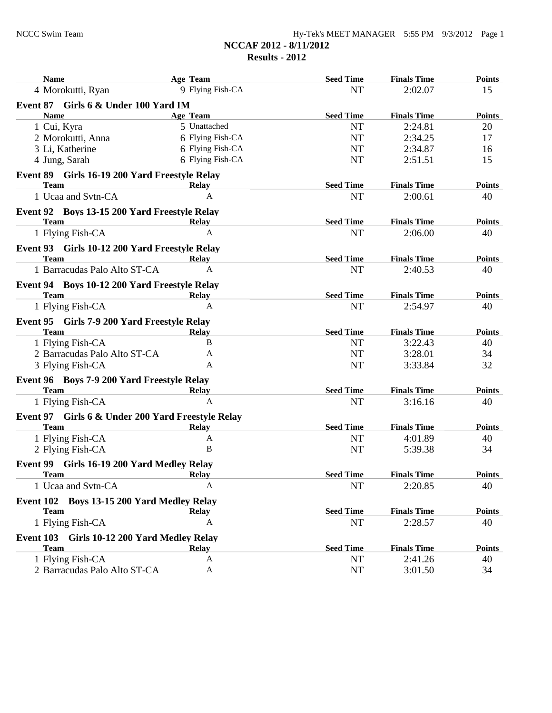| <b>Name</b>                                                | Age Team         | <b>Seed Time</b> | <b>Finals Time</b> | <b>Points</b> |
|------------------------------------------------------------|------------------|------------------|--------------------|---------------|
| 4 Morokutti, Ryan                                          | 9 Flying Fish-CA | <b>NT</b>        | 2:02.07            | 15            |
| Event 87 Girls 6 & Under 100 Yard IM                       |                  |                  |                    |               |
| <b>Name</b>                                                | Age Team         | <b>Seed Time</b> | <b>Finals Time</b> | <b>Points</b> |
| 1 Cui, Kyra                                                | 5 Unattached     | <b>NT</b>        | 2:24.81            | 20            |
| 2 Morokutti, Anna                                          | 6 Flying Fish-CA | <b>NT</b>        | 2:34.25            | 17            |
| 3 Li, Katherine                                            | 6 Flying Fish-CA | <b>NT</b>        | 2:34.87            | 16            |
| 4 Jung, Sarah                                              | 6 Flying Fish-CA | <b>NT</b>        | 2:51.51            | 15            |
| Event 89 Girls 16-19 200 Yard Freestyle Relay              |                  |                  |                    |               |
| <b>Team</b>                                                | <b>Relay</b>     | <b>Seed Time</b> | <b>Finals Time</b> | <b>Points</b> |
| 1 Ucaa and Svtn-CA                                         | A                | <b>NT</b>        | 2:00.61            | 40            |
| Event 92 Boys 13-15 200 Yard Freestyle Relay               |                  |                  |                    |               |
| <b>Team</b>                                                | Relay            | <b>Seed Time</b> | <b>Finals Time</b> | <b>Points</b> |
| 1 Flying Fish-CA                                           | $\mathbf{A}$     | <b>NT</b>        | 2:06.00            | 40            |
| Event 93 Girls 10-12 200 Yard Freestyle Relay              |                  |                  |                    |               |
| Team                                                       | Relay            | <b>Seed Time</b> | <b>Finals Time</b> | <b>Points</b> |
| 1 Barracudas Palo Alto ST-CA                               | A                | <b>NT</b>        | 2:40.53            | 40            |
| Event 94 Boys 10-12 200 Yard Freestyle Relay               |                  |                  |                    |               |
| <b>Team</b>                                                | Relay            | <b>Seed Time</b> | <b>Finals Time</b> | <b>Points</b> |
| 1 Flying Fish-CA                                           | A                | <b>NT</b>        | 2:54.97            | 40            |
| Event 95 Girls 7-9 200 Yard Freestyle Relay                |                  |                  |                    |               |
| <b>Team</b>                                                | <b>Relay</b>     | <b>Seed Time</b> | <b>Finals Time</b> | <b>Points</b> |
| 1 Flying Fish-CA                                           | B                | <b>NT</b>        | 3:22.43            | 40            |
| 2 Barracudas Palo Alto ST-CA                               | A                | <b>NT</b>        | 3:28.01            | 34            |
| 3 Flying Fish-CA                                           | A                | <b>NT</b>        | 3:33.84            | 32            |
| Event 96 Boys 7-9 200 Yard Freestyle Relay                 |                  |                  |                    |               |
| <b>Team</b>                                                | <b>Relay</b>     | <b>Seed Time</b> | <b>Finals Time</b> | <b>Points</b> |
| 1 Flying Fish-CA                                           | A                | <b>NT</b>        | 3:16.16            | 40            |
| Event 97 Girls 6 & Under 200 Yard Freestyle Relay          |                  |                  |                    |               |
| <b>Team</b>                                                | <b>Relay</b>     | <b>Seed Time</b> | <b>Finals Time</b> | <b>Points</b> |
| 1 Flying Fish-CA                                           | A                | <b>NT</b>        | 4:01.89            | 40            |
| 2 Flying Fish-CA                                           | B                | <b>NT</b>        | 5:39.38            | 34            |
| Event 99 Girls 16-19 200 Yard Medley Relay                 |                  |                  |                    |               |
| <b>Team</b>                                                | Relav            | <b>Seed Time</b> | <b>Finals Time</b> | <b>Points</b> |
| 1 Ucaa and Svtn-CA                                         | A                | NT               | 2:20.85            | 40            |
| Event 102 Boys 13-15 200 Yard Medley Relay                 |                  |                  |                    |               |
| <b>Team</b>                                                | <b>Relay</b>     | <b>Seed Time</b> | <b>Finals Time</b> | <b>Points</b> |
| 1 Flying Fish-CA                                           | A                | NT               | 2:28.57            | 40            |
|                                                            |                  |                  |                    |               |
| Event 103 Girls 10-12 200 Yard Medley Relay<br><b>Team</b> | <b>Relay</b>     | <b>Seed Time</b> | <b>Finals Time</b> | <b>Points</b> |
| 1 Flying Fish-CA                                           | A                | <b>NT</b>        | 2:41.26            | 40            |
| 2 Barracudas Palo Alto ST-CA                               | A                | <b>NT</b>        | 3:01.50            | 34            |
|                                                            |                  |                  |                    |               |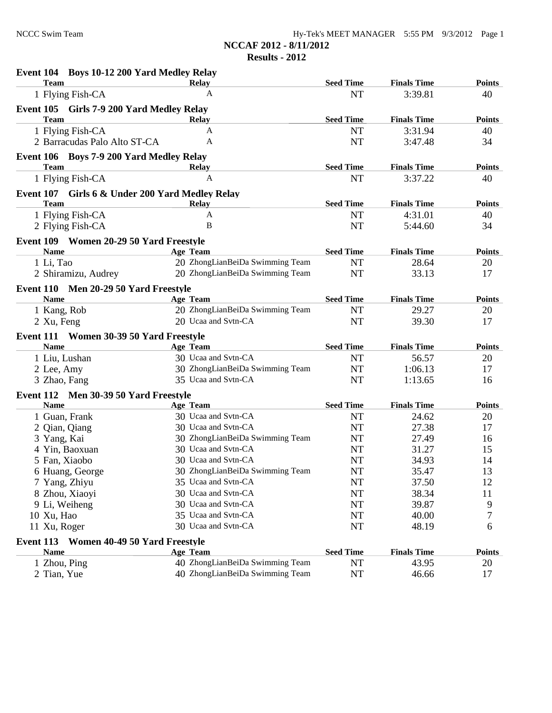**NCCAF 2012 - 8/11/2012**

**Results - 2012**

| Event 104 Boys 10-12 200 Yard Medley Relay      |                                 |                  |                    |               |
|-------------------------------------------------|---------------------------------|------------------|--------------------|---------------|
| <b>Team</b>                                     | <b>Relay</b>                    | <b>Seed Time</b> | <b>Finals Time</b> | <b>Points</b> |
| 1 Flying Fish-CA                                | A                               | <b>NT</b>        | 3:39.81            | 40            |
| Event 105 Girls 7-9 200 Yard Medley Relay       |                                 |                  |                    |               |
| <b>Team</b>                                     | <b>Relay</b>                    | <b>Seed Time</b> | <b>Finals Time</b> | <b>Points</b> |
| 1 Flying Fish-CA                                | $\mathbf{A}$                    | <b>NT</b>        | 3:31.94            | 40            |
| 2 Barracudas Palo Alto ST-CA                    | A                               | <b>NT</b>        | 3:47.48            | 34            |
| Event 106 Boys 7-9 200 Yard Medley Relay        |                                 |                  |                    |               |
| <b>Team</b>                                     | Relay                           | <b>Seed Time</b> | <b>Finals Time</b> | <b>Points</b> |
| 1 Flying Fish-CA                                | A                               | <b>NT</b>        | 3:37.22            | 40            |
| Event 107 Girls 6 & Under 200 Yard Medley Relay |                                 |                  |                    |               |
| <b>Team</b>                                     | <b>Relay</b>                    | <b>Seed Time</b> | <b>Finals Time</b> | <b>Points</b> |
| 1 Flying Fish-CA                                | $\mathbf{A}$                    | <b>NT</b>        | 4:31.01            | 40            |
| 2 Flying Fish-CA                                | B                               | <b>NT</b>        | 5:44.60            | 34            |
| Event 109 Women 20-29 50 Yard Freestyle         |                                 |                  |                    |               |
| <b>Name</b>                                     | Age Team                        | <b>Seed Time</b> | <b>Finals Time</b> | <b>Points</b> |
| 1 Li, Tao                                       | 20 ZhongLianBeiDa Swimming Team | <b>NT</b>        | 28.64              | 20            |
| 2 Shiramizu, Audrey                             | 20 ZhongLianBeiDa Swimming Team | <b>NT</b>        | 33.13              | 17            |
| Event 110 Men 20-29 50 Yard Freestyle           |                                 |                  |                    |               |
| <b>Name</b>                                     | <b>Age Team</b>                 | <b>Seed Time</b> | <b>Finals Time</b> | <b>Points</b> |
| 1 Kang, Rob                                     | 20 ZhongLianBeiDa Swimming Team | <b>NT</b>        | 29.27              | 20            |
| 2 Xu, Feng                                      | 20 Ucaa and Svtn-CA             | <b>NT</b>        | 39.30              | 17            |
| Event 111 Women 30-39 50 Yard Freestyle         |                                 |                  |                    |               |
| <b>Name</b>                                     | Age Team                        | <b>Seed Time</b> | <b>Finals Time</b> | <b>Points</b> |
| 1 Liu, Lushan                                   | 30 Ucaa and Svtn-CA             | <b>NT</b>        | 56.57              | 20            |
| 2 Lee, Amy                                      | 30 ZhongLianBeiDa Swimming Team | <b>NT</b>        | 1:06.13            | 17            |
| 3 Zhao, Fang                                    | 35 Ucaa and Svtn-CA             | <b>NT</b>        | 1:13.65            | 16            |
| Event 112 Men 30-39 50 Yard Freestyle           |                                 |                  |                    |               |
| <b>Name</b>                                     | Age Team                        | <b>Seed Time</b> | <b>Finals Time</b> | <b>Points</b> |
| 1 Guan, Frank                                   | 30 Ucaa and Svtn-CA             | <b>NT</b>        | 24.62              | 20            |
| 2 Qian, Qiang                                   | 30 Ucaa and Svtn-CA             | <b>NT</b>        | 27.38              | 17            |
| 3 Yang, Kai                                     | 30 ZhongLianBeiDa Swimming Team | <b>NT</b>        | 27.49              | 16            |
| 4 Yin, Baoxuan                                  | 30 Ucaa and Svtn-CA             | <b>NT</b>        | 31.27              | 15            |
| 5 Fan, Xiaobo                                   | 30 Ucaa and Svtn-CA             | <b>NT</b>        | 34.93              | 14            |
| 6 Huang, George                                 | 30 ZhongLianBeiDa Swimming Team | <b>NT</b>        | 35.47              | 13            |
| 7 Yang, Zhiyu                                   | 35 Ucaa and Svtn-CA             | NT               | 37.50              | 12            |
| 8 Zhou, Xiaoyi                                  | 30 Ucaa and Svtn-CA             | <b>NT</b>        | 38.34              | 11            |
| 9 Li, Weiheng                                   | 30 Ucaa and Svtn-CA             | NT               | 39.87              | 9             |
| 10 Xu, Hao                                      | 35 Ucaa and Svtn-CA             | <b>NT</b>        | 40.00              | 7             |
| 11 Xu, Roger                                    | 30 Ucaa and Svtn-CA             | <b>NT</b>        | 48.19              | 6             |
| Event 113 Women 40-49 50 Yard Freestyle         |                                 |                  |                    |               |
| <b>Name</b>                                     | <b>Age Team</b>                 | <b>Seed Time</b> | <b>Finals Time</b> | <b>Points</b> |
| 1 Zhou, Ping                                    | 40 ZhongLianBeiDa Swimming Team | <b>NT</b>        | 43.95              | 20            |
| 2 Tian, Yue                                     | 40 ZhongLianBeiDa Swimming Team | NT               | 46.66              | 17            |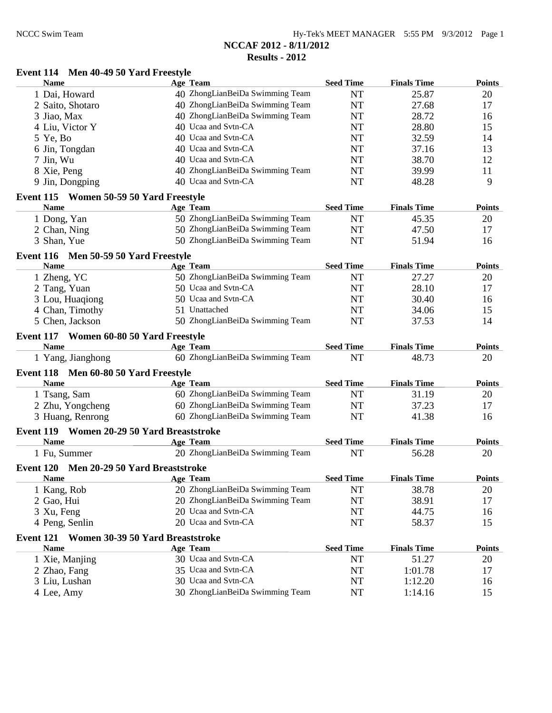# **NCCAF 2012 - 8/11/2012**

#### **Results - 2012**

#### **Event 114 Men 40-49 50 Yard Freestyle**

| <b>Name</b>                                            | <b>Age Team</b>                 | <b>Seed Time</b> | <b>Finals Time</b> | <b>Points</b> |
|--------------------------------------------------------|---------------------------------|------------------|--------------------|---------------|
| 1 Dai, Howard                                          | 40 ZhongLianBeiDa Swimming Team | <b>NT</b>        | 25.87              | 20            |
| 2 Saito, Shotaro                                       | 40 ZhongLianBeiDa Swimming Team | <b>NT</b>        | 27.68              | 17            |
| 3 Jiao, Max                                            | 40 ZhongLianBeiDa Swimming Team | <b>NT</b>        | 28.72              | 16            |
| 4 Liu, Victor Y                                        | 40 Ucaa and Svtn-CA             | <b>NT</b>        | 28.80              | 15            |
| 5 Ye, Bo                                               | 40 Ucaa and Svtn-CA             | <b>NT</b>        | 32.59              | 14            |
| 6 Jin, Tongdan                                         | 40 Ucaa and Svtn-CA             | <b>NT</b>        | 37.16              | 13            |
| 7 Jin, Wu                                              | 40 Ucaa and Svtn-CA             | <b>NT</b>        | 38.70              | 12            |
| 8 Xie, Peng                                            | 40 ZhongLianBeiDa Swimming Team | <b>NT</b>        | 39.99              | 11            |
| 9 Jin, Dongping                                        | 40 Ucaa and Svtn-CA             | <b>NT</b>        | 48.28              | 9             |
| Event 115 Women 50-59 50 Yard Freestyle                |                                 |                  |                    |               |
| <b>Name</b>                                            | Age Team                        | <b>Seed Time</b> | <b>Finals Time</b> | <b>Points</b> |
| 1 Dong, Yan                                            | 50 ZhongLianBeiDa Swimming Team | <b>NT</b>        | 45.35              | 20            |
| 2 Chan, Ning                                           | 50 ZhongLianBeiDa Swimming Team | <b>NT</b>        | 47.50              | 17            |
| 3 Shan, Yue                                            | 50 ZhongLianBeiDa Swimming Team | <b>NT</b>        | 51.94              | 16            |
| Event 116 Men 50-59 50 Yard Freestyle                  |                                 |                  |                    |               |
| <b>Name</b>                                            | Age Team                        | <b>Seed Time</b> | <b>Finals Time</b> | <b>Points</b> |
| 1 Zheng, YC                                            | 50 ZhongLianBeiDa Swimming Team | <b>NT</b>        | 27.27              | 20            |
| 2 Tang, Yuan                                           | 50 Ucaa and Svtn-CA             | <b>NT</b>        | 28.10              | 17            |
| 3 Lou, Huaqiong                                        | 50 Ucaa and Svtn-CA             | <b>NT</b>        | 30.40              | 16            |
| 4 Chan, Timothy                                        | 51 Unattached                   | <b>NT</b>        | 34.06              | 15            |
| 5 Chen, Jackson                                        | 50 ZhongLianBeiDa Swimming Team | <b>NT</b>        | 37.53              | 14            |
|                                                        |                                 |                  |                    |               |
| Event 117 Women 60-80 50 Yard Freestyle<br><b>Name</b> | <b>Age Team</b>                 | <b>Seed Time</b> | <b>Finals Time</b> | <b>Points</b> |
| 1 Yang, Jianghong                                      | 60 ZhongLianBeiDa Swimming Team | <b>NT</b>        | 48.73              | 20            |
| Event 118 Men 60-80 50 Yard Freestyle                  |                                 |                  |                    |               |
| <b>Name</b>                                            | <b>Age Team</b>                 | <b>Seed Time</b> | <b>Finals Time</b> | <b>Points</b> |
| 1 Tsang, Sam                                           | 60 ZhongLianBeiDa Swimming Team | <b>NT</b>        | 31.19              | 20            |
| 2 Zhu, Yongcheng                                       | 60 ZhongLianBeiDa Swimming Team | NT               | 37.23              | 17            |
| 3 Huang, Renrong                                       | 60 ZhongLianBeiDa Swimming Team | <b>NT</b>        | 41.38              | 16            |
|                                                        |                                 |                  |                    |               |
| Event 119 Women 20-29 50 Yard Breaststroke             |                                 |                  |                    |               |
| <b>Name</b>                                            | Age Team                        | <b>Seed Time</b> | <b>Finals Time</b> | <b>Points</b> |
| 1 Fu, Summer                                           | 20 ZhongLianBeiDa Swimming Team | <b>NT</b>        | 56.28              | 20            |
| Event 120 Men 20-29 50 Yard Breaststroke               |                                 |                  |                    |               |
| <u>Name</u>                                            | Age Team                        | <b>Seed Time</b> | <b>Finals Time</b> | <b>Points</b> |
| 1 Kang, Rob                                            | 20 ZhongLianBeiDa Swimming Team | NT               | 38.78              | 20            |
| 2 Gao, Hui                                             | 20 ZhongLianBeiDa Swimming Team | NT               | 38.91              | 17            |
| 3 Xu, Feng                                             | 20 Ucaa and Svtn-CA             | NT               | 44.75              | 16            |
| 4 Peng, Senlin                                         | 20 Ucaa and Svtn-CA             | NT               | 58.37              | 15            |
| Event 121 Women 30-39 50 Yard Breaststroke             |                                 |                  |                    |               |
| <b>Name</b>                                            | Age Team                        | <b>Seed Time</b> | <b>Finals Time</b> | <b>Points</b> |
| 1 Xie, Manjing                                         | 30 Ucaa and Svtn-CA             | NT               | 51.27              | 20            |
|                                                        |                                 |                  |                    |               |
| 2 Zhao, Fang                                           | 35 Ucaa and Svtn-CA             | NT               | 1:01.78            | 17            |
| 3 Liu, Lushan                                          | 30 Ucaa and Svtn-CA             | NT<br>NT         | 1:12.20            | 16            |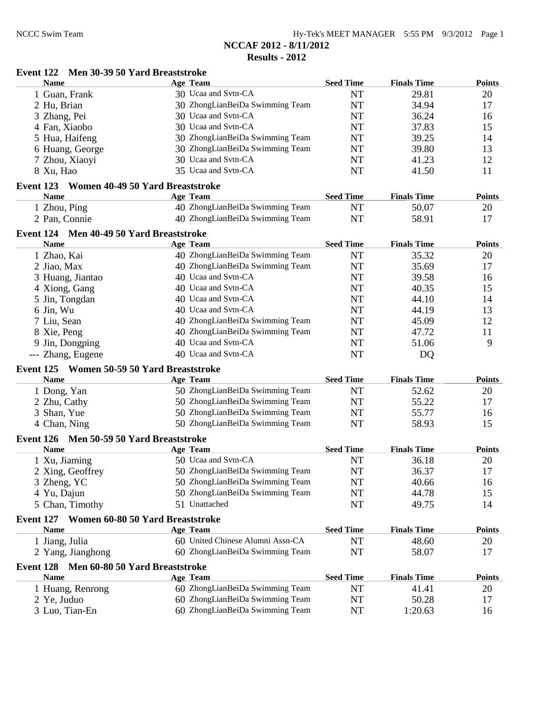#### **Event 122 Men 30-39 50 Yard Breaststroke**

| <b>Name</b>                              | <b>Age Team</b>                         | <b>Seed Time</b> | <b>Finals Time</b> | <b>Points</b> |
|------------------------------------------|-----------------------------------------|------------------|--------------------|---------------|
| 1 Guan, Frank                            | 30 Ucaa and Svtn-CA                     | <b>NT</b>        | 29.81              | 20            |
| 2 Hu, Brian                              | 30 ZhongLianBeiDa Swimming Team         | <b>NT</b>        | 34.94              | 17            |
| 3 Zhang, Pei                             | 30 Ucaa and Svtn-CA                     | <b>NT</b>        | 36.24              | 16            |
| 4 Fan, Xiaobo                            | 30 Ucaa and Svtn-CA                     | <b>NT</b>        | 37.83              | 15            |
| 5 Hua, Haifeng                           | 30 ZhongLianBeiDa Swimming Team         | <b>NT</b>        | 39.25              | 14            |
| 6 Huang, George                          | 30 ZhongLianBeiDa Swimming Team         | <b>NT</b>        | 39.80              | 13            |
| 7 Zhou, Xiaoyi                           | 30 Ucaa and Svtn-CA                     | <b>NT</b>        | 41.23              | 12            |
| 8 Xu, Hao                                | 35 Ucaa and Svtn-CA                     | <b>NT</b>        | 41.50              | 11            |
| Event 123                                | Women 40-49 50 Yard Breaststroke        |                  |                    |               |
| <b>Name</b>                              | Age Team                                | <b>Seed Time</b> | <b>Finals Time</b> | <b>Points</b> |
| 1 Zhou, Ping                             | 40 ZhongLianBeiDa Swimming Team         | <b>NT</b>        | 50.07              | 20            |
| 2 Pan, Connie                            | 40 ZhongLianBeiDa Swimming Team         | <b>NT</b>        | 58.91              | 17            |
|                                          |                                         |                  |                    |               |
| Event 124 Men 40-49 50 Yard Breaststroke |                                         |                  |                    |               |
| <b>Name</b>                              | Age Team                                | <b>Seed Time</b> | <b>Finals Time</b> | <b>Points</b> |
| 1 Zhao, Kai                              | 40 ZhongLianBeiDa Swimming Team         | <b>NT</b>        | 35.32              | 20            |
| 2 Jiao, Max                              | 40 ZhongLianBeiDa Swimming Team         | <b>NT</b>        | 35.69              | 17            |
| 3 Huang, Jiantao                         | 40 Ucaa and Svtn-CA                     | <b>NT</b>        | 39.58              | 16            |
| 4 Xiong, Gang                            | 40 Ucaa and Svtn-CA                     | NT               | 40.35              | 15            |
| 5 Jin, Tongdan                           | 40 Ucaa and Svtn-CA                     | NT               | 44.10              | 14            |
| 6 Jin, Wu                                | 40 Ucaa and Svtn-CA                     | <b>NT</b>        | 44.19              | 13            |
| 7 Liu, Sean                              | 40 ZhongLianBeiDa Swimming Team         | <b>NT</b>        | 45.09              | 12            |
| 8 Xie, Peng                              | 40 ZhongLianBeiDa Swimming Team         | NT               | 47.72              | 11            |
| 9 Jin, Dongping                          | 40 Ucaa and Svtn-CA                     | <b>NT</b>        | 51.06              | 9             |
| --- Zhang, Eugene                        | 40 Ucaa and Svtn-CA                     | <b>NT</b>        | DQ                 |               |
| Event 125                                | <b>Women 50-59 50 Yard Breaststroke</b> |                  |                    |               |
| <b>Name</b>                              | <b>Age Team</b>                         | <b>Seed Time</b> | <b>Finals Time</b> | <b>Points</b> |
| 1 Dong, Yan                              | 50 ZhongLianBeiDa Swimming Team         | <b>NT</b>        | 52.62              | 20            |
| 2 Zhu, Cathy                             | 50 ZhongLianBeiDa Swimming Team         | NT               | 55.22              | 17            |
| 3 Shan, Yue                              | 50 ZhongLianBeiDa Swimming Team         | <b>NT</b>        | 55.77              | 16            |
| 4 Chan, Ning                             | 50 ZhongLianBeiDa Swimming Team         | <b>NT</b>        | 58.93              | 15            |
| Event 126 Men 50-59 50 Yard Breaststroke |                                         |                  |                    |               |
| <b>Name</b>                              | <b>Age Team</b>                         | <b>Seed Time</b> | <b>Finals Time</b> | <b>Points</b> |
| 1 Xu, Jiaming                            | 50 Ucaa and Svtn-CA                     | <b>NT</b>        | 36.18              | 20            |
| 2 Xing, Geoffrey                         | 50 ZhongLianBeiDa Swimming Team         | <b>NT</b>        | 36.37              | 17            |
|                                          | 50 ZhongLianBeiDa Swimming Team         | $\rm{NT}$        |                    |               |
| 3 Zheng, YC                              | 50 ZhongLianBeiDa Swimming Team         |                  | 40.66              | 16            |
| 4 Yu, Dajun                              | 51 Unattached                           | NT               | 44.78<br>49.75     | 15<br>14      |
| 5 Chan, Timothy                          |                                         | NT               |                    |               |
| Event 127                                | Women 60-80 50 Yard Breaststroke        |                  |                    |               |
| <b>Name</b>                              | Age Team                                | <b>Seed Time</b> | <b>Finals Time</b> | <b>Points</b> |
| 1 Jiang, Julia                           | 60 United Chinese Alumni Assn-CA        | NT               | 48.60              | 20            |
| 2 Yang, Jianghong                        | 60 ZhongLianBeiDa Swimming Team         | NT               | 58.07              | 17            |
| Event 128 Men 60-80 50 Yard Breaststroke |                                         |                  |                    |               |
| <b>Name</b>                              | <b>Age Team</b>                         | <b>Seed Time</b> | <b>Finals Time</b> | <b>Points</b> |
| 1 Huang, Renrong                         | 60 ZhongLianBeiDa Swimming Team         | <b>NT</b>        | 41.41              | 20            |
| 2 Ye, Juduo                              | 60 ZhongLianBeiDa Swimming Team         | NT               | 50.28              | 17            |
| 3 Luo, Tian-En                           | 60 ZhongLianBeiDa Swimming Team         | NT               | 1:20.63            | 16            |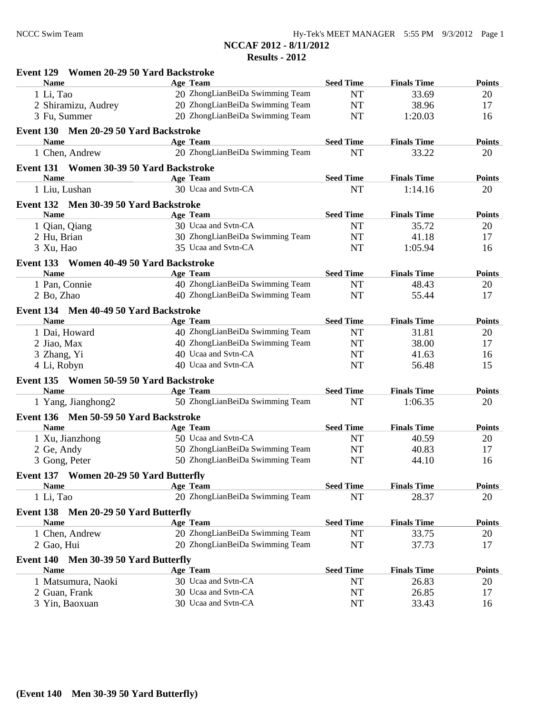**NCCAF 2012 - 8/11/2012**

**Results - 2012**

| Event 129 Women 20-29 50 Yard Backstroke |                                 |                  |                    |               |
|------------------------------------------|---------------------------------|------------------|--------------------|---------------|
| <b>Name</b>                              | Age Team                        | <b>Seed Time</b> | <b>Finals Time</b> | <b>Points</b> |
| 1 Li, Tao                                | 20 ZhongLianBeiDa Swimming Team | <b>NT</b>        | 33.69              | 20            |
| 2 Shiramizu, Audrey                      | 20 ZhongLianBeiDa Swimming Team | <b>NT</b>        | 38.96              | 17            |
| 3 Fu, Summer                             | 20 ZhongLianBeiDa Swimming Team | <b>NT</b>        | 1:20.03            | 16            |
| Event 130 Men 20-29 50 Yard Backstroke   |                                 |                  |                    |               |
| <b>Name</b>                              | Age Team                        | <b>Seed Time</b> | <b>Finals Time</b> | <b>Points</b> |
| 1 Chen, Andrew                           | 20 ZhongLianBeiDa Swimming Team | <b>NT</b>        | 33.22              | 20            |
| Event 131 Women 30-39 50 Yard Backstroke |                                 |                  |                    |               |
| <b>Name</b>                              | Age Team                        | <b>Seed Time</b> | <b>Finals Time</b> | <b>Points</b> |
| 1 Liu, Lushan                            | 30 Ucaa and Svtn-CA             | <b>NT</b>        | 1:14.16            | 20            |
| Event 132 Men 30-39 50 Yard Backstroke   |                                 |                  |                    |               |
| <b>Name</b>                              | Age Team                        | <b>Seed Time</b> | <b>Finals Time</b> | <b>Points</b> |
| 1 Qian, Qiang                            | 30 Ucaa and Svtn-CA             | <b>NT</b>        | 35.72              | 20            |
| 2 Hu, Brian                              | 30 ZhongLianBeiDa Swimming Team | <b>NT</b>        | 41.18              | 17            |
| 3 Xu, Hao                                | 35 Ucaa and Svtn-CA             | <b>NT</b>        | 1:05.94            | 16            |
| Event 133 Women 40-49 50 Yard Backstroke |                                 |                  |                    |               |
| <b>Name</b>                              | Age Team                        | <b>Seed Time</b> | <b>Finals Time</b> | <b>Points</b> |
| 1 Pan, Connie                            | 40 ZhongLianBeiDa Swimming Team | <b>NT</b>        | 48.43              | 20            |
| 2 Bo, Zhao                               | 40 ZhongLianBeiDa Swimming Team | <b>NT</b>        | 55.44              | 17            |
| Event 134 Men 40-49 50 Yard Backstroke   |                                 |                  |                    |               |
| <b>Name</b>                              | Age Team                        | <b>Seed Time</b> | <b>Finals Time</b> | <b>Points</b> |
| 1 Dai, Howard                            | 40 ZhongLianBeiDa Swimming Team | <b>NT</b>        | 31.81              | 20            |
| 2 Jiao, Max                              | 40 ZhongLianBeiDa Swimming Team | <b>NT</b>        | 38.00              | 17            |
| 3 Zhang, Yi                              | 40 Ucaa and Svtn-CA             | NT               | 41.63              | 16            |
| 4 Li, Robyn                              | 40 Ucaa and Svtn-CA             | <b>NT</b>        | 56.48              | 15            |
| Event 135 Women 50-59 50 Yard Backstroke |                                 |                  |                    |               |
| <b>Name</b>                              | Age Team                        | <b>Seed Time</b> | <b>Finals Time</b> | <b>Points</b> |
| 1 Yang, Jianghong2                       | 50 ZhongLianBeiDa Swimming Team | <b>NT</b>        | 1:06.35            | 20            |
| Event 136 Men 50-59 50 Yard Backstroke   |                                 |                  |                    |               |
| <b>Name</b>                              | <b>Age Team</b>                 | <b>Seed Time</b> | <b>Finals Time</b> | <b>Points</b> |
| 1 Xu, Jianzhong                          | 50 Ucaa and Svtn-CA             | <b>NT</b>        | 40.59              | 20            |
| 2 Ge, Andy                               | 50 ZhongLianBeiDa Swimming Team | <b>NT</b>        | 40.83              | 17            |
| 3 Gong, Peter                            | 50 ZhongLianBeiDa Swimming Team | <b>NT</b>        | 44.10              | 16            |
| Event 137 Women 20-29 50 Yard Butterfly  |                                 |                  |                    |               |
| <b>Name</b>                              | <b>Age Team</b>                 | <b>Seed Time</b> | <b>Finals Time</b> | <b>Points</b> |
| 1 Li, Tao                                | 20 ZhongLianBeiDa Swimming Team | <b>NT</b>        | 28.37              | 20            |
| Event 138<br>Men 20-29 50 Yard Butterfly |                                 |                  |                    |               |
| <b>Name</b>                              | <b>Age Team</b>                 | <b>Seed Time</b> | <b>Finals Time</b> | <b>Points</b> |
| 1 Chen, Andrew                           | 20 ZhongLianBeiDa Swimming Team | NT               | 33.75              | 20            |
| 2 Gao, Hui                               | 20 ZhongLianBeiDa Swimming Team | NT               | 37.73              | 17            |
| Event 140<br>Men 30-39 50 Yard Butterfly |                                 |                  |                    |               |
| <b>Name</b>                              | <b>Age Team</b>                 | <b>Seed Time</b> | <b>Finals Time</b> | <b>Points</b> |
| 1 Matsumura, Naoki                       | 30 Ucaa and Svtn-CA             | NT               | 26.83              | 20            |
| 2 Guan, Frank                            | 30 Ucaa and Svtn-CA             | NT               | 26.85              | 17            |
| 3 Yin, Baoxuan                           | 30 Ucaa and Svtn-CA             | NT               | 33.43              | 16            |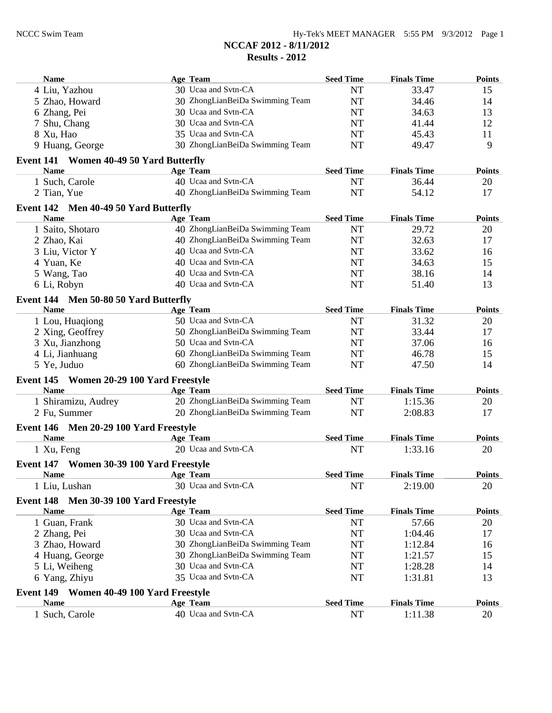| Name                                                 | Age Team                        | <b>Seed Time</b> | <b>Finals Time</b> | <b>Points</b> |
|------------------------------------------------------|---------------------------------|------------------|--------------------|---------------|
| 4 Liu, Yazhou                                        | 30 Ucaa and Svtn-CA             | <b>NT</b>        | 33.47              | 15            |
| 5 Zhao, Howard                                       | 30 ZhongLianBeiDa Swimming Team | <b>NT</b>        | 34.46              | 14            |
| 6 Zhang, Pei                                         | 30 Ucaa and Svtn-CA             | NT               | 34.63              | 13            |
| 7 Shu, Chang                                         | 30 Ucaa and Svtn-CA             | NT               | 41.44              | 12            |
| 8 Xu, Hao                                            | 35 Ucaa and Svtn-CA             | NT               | 45.43              | 11            |
| 9 Huang, George                                      | 30 ZhongLianBeiDa Swimming Team | <b>NT</b>        | 49.47              | 9             |
| Event 141 Women 40-49 50 Yard Butterfly              |                                 |                  |                    |               |
| <b>Name</b>                                          | Age Team                        | <b>Seed Time</b> | <b>Finals Time</b> | <b>Points</b> |
| 1 Such, Carole                                       | 40 Ucaa and Svtn-CA             | <b>NT</b>        | 36.44              | 20            |
| 2 Tian, Yue                                          | 40 ZhongLianBeiDa Swimming Team | <b>NT</b>        | 54.12              | 17            |
| Event 142 Men 40-49 50 Yard Butterfly                |                                 |                  |                    |               |
| <b>Name</b>                                          | Age Team                        | <b>Seed Time</b> | <b>Finals Time</b> | <b>Points</b> |
| 1 Saito, Shotaro                                     | 40 ZhongLianBeiDa Swimming Team | <b>NT</b>        | 29.72              | 20            |
| 2 Zhao, Kai                                          | 40 ZhongLianBeiDa Swimming Team | <b>NT</b>        | 32.63              | 17            |
| 3 Liu, Victor Y                                      | 40 Ucaa and Svtn-CA             | <b>NT</b>        | 33.62              | 16            |
| 4 Yuan, Ke                                           | 40 Ucaa and Svtn-CA             | NT               | 34.63              | 15            |
| 5 Wang, Tao                                          | 40 Ucaa and Svtn-CA             | <b>NT</b>        | 38.16              | 14            |
| 6 Li, Robyn                                          | 40 Ucaa and Svtn-CA             | <b>NT</b>        | 51.40              | 13            |
|                                                      |                                 |                  |                    |               |
| Event 144 Men 50-80 50 Yard Butterfly<br><b>Name</b> | Age Team                        | <b>Seed Time</b> | <b>Finals Time</b> | <b>Points</b> |
| 1 Lou, Huaqiong                                      | 50 Ucaa and Svtn-CA             | <b>NT</b>        | 31.32              | 20            |
| 2 Xing, Geoffrey                                     | 50 ZhongLianBeiDa Swimming Team | <b>NT</b>        | 33.44              | 17            |
| 3 Xu, Jianzhong                                      | 50 Ucaa and Svtn-CA             | <b>NT</b>        | 37.06              | 16            |
| 4 Li, Jianhuang                                      | 60 ZhongLianBeiDa Swimming Team | <b>NT</b>        | 46.78              | 15            |
| 5 Ye, Juduo                                          | 60 ZhongLianBeiDa Swimming Team | <b>NT</b>        | 47.50              | 14            |
| Event 145 Women 20-29 100 Yard Freestyle             |                                 |                  |                    |               |
| <b>Name</b>                                          | Age Team                        | <b>Seed Time</b> | <b>Finals Time</b> | <b>Points</b> |
| 1 Shiramizu, Audrey                                  | 20 ZhongLianBeiDa Swimming Team | <b>NT</b>        | 1:15.36            | 20            |
| 2 Fu, Summer                                         | 20 ZhongLianBeiDa Swimming Team | <b>NT</b>        | 2:08.83            | 17            |
|                                                      |                                 |                  |                    |               |
| Event 146 Men 20-29 100 Yard Freestyle               | Age Team                        | <b>Seed Time</b> | <b>Finals Time</b> | <b>Points</b> |
| <b>Name</b>                                          | 20 Ucaa and Svtn-CA             | <b>NT</b>        | 1:33.16            |               |
| 1 Xu, Feng                                           |                                 |                  |                    | 20            |
| Event 147 Women 30-39 100 Yard Freestyle             |                                 |                  |                    |               |
| Name Age Team                                        |                                 | <b>Seed Time</b> | <b>Finals Time</b> | <b>Points</b> |
| 1 Liu, Lushan                                        | 30 Ucaa and Svtn-CA             | <b>NT</b>        | 2:19.00            | 20            |
| Event 148<br>Men 30-39 100 Yard Freestyle            |                                 |                  |                    |               |
| <b>Name</b>                                          | <b>Age Team</b>                 | <b>Seed Time</b> | <b>Finals Time</b> | <b>Points</b> |
| 1 Guan, Frank                                        | 30 Ucaa and Svtn-CA             | <b>NT</b>        | 57.66              | 20            |
| 2 Zhang, Pei                                         | 30 Ucaa and Svtn-CA             | NT               | 1:04.46            | 17            |
| 3 Zhao, Howard                                       | 30 ZhongLianBeiDa Swimming Team | NT               | 1:12.84            | 16            |
| 4 Huang, George                                      | 30 ZhongLianBeiDa Swimming Team | NT               | 1:21.57            | 15            |
| 5 Li, Weiheng                                        | 30 Ucaa and Svtn-CA             | NT               | 1:28.28            | 14            |
| 6 Yang, Zhiyu                                        | 35 Ucaa and Svtn-CA             | NT               | 1:31.81            | 13            |
| Event 149 Women 40-49 100 Yard Freestyle             |                                 |                  |                    |               |
| <b>Name</b>                                          | <b>Age Team</b>                 | <b>Seed Time</b> | <b>Finals Time</b> | <b>Points</b> |
| 1 Such, Carole                                       | 40 Ucaa and Svtn-CA             | <b>NT</b>        | 1:11.38            | 20            |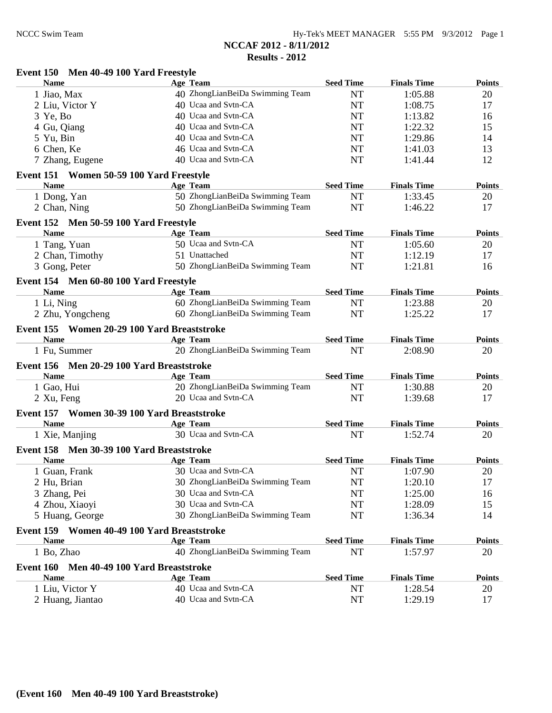| Event 150 Men 40-49 100 Yard Freestyle                     |                                 |                  |                    |               |
|------------------------------------------------------------|---------------------------------|------------------|--------------------|---------------|
| <b>Name</b>                                                | <b>Age Team</b>                 | <b>Seed Time</b> | <b>Finals Time</b> | <b>Points</b> |
| 1 Jiao, Max                                                | 40 ZhongLianBeiDa Swimming Team | <b>NT</b>        | 1:05.88            | 20            |
| 2 Liu, Victor Y                                            | 40 Ucaa and Svtn-CA             | <b>NT</b>        | 1:08.75            | 17            |
| $3$ Ye, Bo                                                 | 40 Ucaa and Svtn-CA             | <b>NT</b>        | 1:13.82            | 16            |
| 4 Gu, Qiang                                                | 40 Ucaa and Svtn-CA             | <b>NT</b>        | 1:22.32            | 15            |
| 5 Yu, Bin                                                  | 40 Ucaa and Svtn-CA             | <b>NT</b>        | 1:29.86            | 14            |
| 6 Chen, Ke                                                 | 46 Ucaa and Svtn-CA             | <b>NT</b>        | 1:41.03            | 13            |
| 7 Zhang, Eugene                                            | 40 Ucaa and Svtn-CA             | <b>NT</b>        | 1:41.44            | 12            |
| Event 151 Women 50-59 100 Yard Freestyle                   |                                 |                  |                    |               |
| <b>Name</b>                                                | Age Team                        | <b>Seed Time</b> | <b>Finals Time</b> | <b>Points</b> |
| 1 Dong, Yan                                                | 50 ZhongLianBeiDa Swimming Team | <b>NT</b>        | 1:33.45            | 20            |
| 2 Chan, Ning                                               | 50 ZhongLianBeiDa Swimming Team | <b>NT</b>        | 1:46.22            | 17            |
| Event 152 Men 50-59 100 Yard Freestyle                     |                                 |                  |                    |               |
| <b>Name</b>                                                | Age Team                        | <b>Seed Time</b> | <b>Finals Time</b> | <b>Points</b> |
| 1 Tang, Yuan                                               | 50 Ucaa and Svtn-CA             | <b>NT</b>        | 1:05.60            | 20            |
| 2 Chan, Timothy                                            | 51 Unattached                   | <b>NT</b>        | 1:12.19            | 17            |
| 3 Gong, Peter                                              | 50 ZhongLianBeiDa Swimming Team | <b>NT</b>        | 1:21.81            | 16            |
| Event 154 Men 60-80 100 Yard Freestyle                     |                                 |                  |                    |               |
| <b>Name</b>                                                | Age Team                        | <b>Seed Time</b> | <b>Finals Time</b> | <b>Points</b> |
| 1 Li, Ning                                                 | 60 ZhongLianBeiDa Swimming Team | <b>NT</b>        | 1:23.88            | 20            |
| 2 Zhu, Yongcheng                                           | 60 ZhongLianBeiDa Swimming Team | <b>NT</b>        | 1:25.22            | 17            |
|                                                            |                                 |                  |                    |               |
| Event 155 Women 20-29 100 Yard Breaststroke<br><b>Name</b> | Age Team                        | <b>Seed Time</b> | <b>Finals Time</b> | <b>Points</b> |
| 1 Fu, Summer                                               | 20 ZhongLianBeiDa Swimming Team | <b>NT</b>        | 2:08.90            | 20            |
|                                                            |                                 |                  |                    |               |
| Event 156 Men 20-29 100 Yard Breaststroke                  |                                 |                  |                    |               |
| <b>Name</b>                                                | Age Team                        | <b>Seed Time</b> | <b>Finals Time</b> | <b>Points</b> |
| 1 Gao, Hui                                                 | 20 ZhongLianBeiDa Swimming Team | <b>NT</b>        | 1:30.88            | 20            |
| 2 Xu, Feng                                                 | 20 Ucaa and Svtn-CA             | <b>NT</b>        | 1:39.68            | 17            |
| Event 157 Women 30-39 100 Yard Breaststroke                |                                 |                  |                    |               |
| <b>Name</b>                                                | Age Team                        | <b>Seed Time</b> | <b>Finals Time</b> | <b>Points</b> |
| 1 Xie, Manjing                                             | 30 Ucaa and Svtn-CA             | <b>NT</b>        | 1:52.74            | 20            |
| Event 158 Men 30-39 100 Yard Breaststroke                  |                                 |                  |                    |               |
| <b>Name</b>                                                | Age Team                        | <b>Seed Time</b> | <b>Finals Time</b> | <b>Points</b> |
| 1 Guan, Frank                                              | 30 Ucaa and Svtn-CA             | NT               | 1:07.90            | 20            |
| 2 Hu, Brian                                                | 30 ZhongLianBeiDa Swimming Team | NT               | 1:20.10            | 17            |
| 3 Zhang, Pei                                               | 30 Ucaa and Svtn-CA             | NT               | 1:25.00            | 16            |
| 4 Zhou, Xiaoyi                                             | 30 Ucaa and Svtn-CA             | NT               | 1:28.09            | 15            |
| 5 Huang, George                                            | 30 ZhongLianBeiDa Swimming Team | NT               | 1:36.34            | 14            |
| Event 159 Women 40-49 100 Yard Breaststroke                |                                 |                  |                    |               |
| <b>Name</b>                                                | Age Team                        | <b>Seed Time</b> | <b>Finals Time</b> | <b>Points</b> |
| 1 Bo, Zhao                                                 | 40 ZhongLianBeiDa Swimming Team | <b>NT</b>        | 1:57.97            | 20            |
| Event 160<br>Men 40-49 100 Yard Breaststroke               |                                 |                  |                    |               |
| <b>Name</b>                                                | Age Team                        | <b>Seed Time</b> | <b>Finals Time</b> | <b>Points</b> |
| 1 Liu, Victor Y                                            | 40 Ucaa and Svtn-CA             | NT               | 1:28.54            | 20            |
| 2 Huang, Jiantao                                           | 40 Ucaa and Svtn-CA             | NT               | 1:29.19            | 17            |
|                                                            |                                 |                  |                    |               |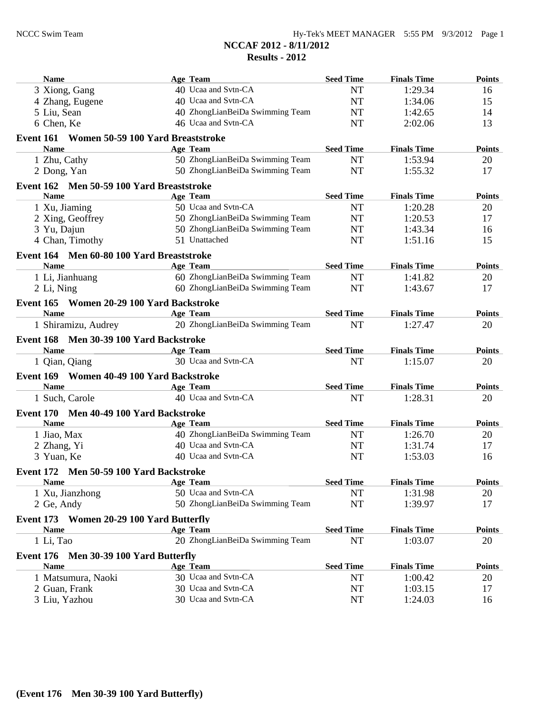| <b>Name</b>                                 | Age Team                        | <b>Seed Time</b> | <b>Finals Time</b> | <b>Points</b> |
|---------------------------------------------|---------------------------------|------------------|--------------------|---------------|
| 3 Xiong, Gang                               | 40 Ucaa and Svtn-CA             | <b>NT</b>        | 1:29.34            | 16            |
| 4 Zhang, Eugene                             | 40 Ucaa and Svtn-CA             | <b>NT</b>        | 1:34.06            | 15            |
| 5 Liu, Sean                                 | 40 ZhongLianBeiDa Swimming Team | NT               | 1:42.65            | 14            |
| 6 Chen, Ke                                  | 46 Ucaa and Svtn-CA             | <b>NT</b>        | 2:02.06            | 13            |
| Event 161 Women 50-59 100 Yard Breaststroke |                                 |                  |                    |               |
| <b>Name</b>                                 | Age Team                        | <b>Seed Time</b> | <b>Finals Time</b> | <b>Points</b> |
| 1 Zhu, Cathy                                | 50 ZhongLianBeiDa Swimming Team | <b>NT</b>        | 1:53.94            | 20            |
| 2 Dong, Yan                                 | 50 ZhongLianBeiDa Swimming Team | <b>NT</b>        | 1:55.32            | 17            |
| Event 162 Men 50-59 100 Yard Breaststroke   |                                 |                  |                    |               |
| <b>Name</b>                                 | Age Team                        | <b>Seed Time</b> | <b>Finals Time</b> | <b>Points</b> |
| 1 Xu, Jiaming                               | 50 Ucaa and Svtn-CA             | <b>NT</b>        | 1:20.28            | 20            |
| 2 Xing, Geoffrey                            | 50 ZhongLianBeiDa Swimming Team | <b>NT</b>        | 1:20.53            | 17            |
| 3 Yu, Dajun                                 | 50 ZhongLianBeiDa Swimming Team | <b>NT</b>        | 1:43.34            | 16            |
| 4 Chan, Timothy                             | 51 Unattached                   | <b>NT</b>        | 1:51.16            | 15            |
| Event 164 Men 60-80 100 Yard Breaststroke   |                                 |                  |                    |               |
| <b>Name</b>                                 | Age Team                        | <b>Seed Time</b> | <b>Finals Time</b> | <b>Points</b> |
| 1 Li, Jianhuang                             | 60 ZhongLianBeiDa Swimming Team | <b>NT</b>        | 1:41.82            | 20            |
| 2 Li, Ning                                  | 60 ZhongLianBeiDa Swimming Team | <b>NT</b>        | 1:43.67            | 17            |
| Event 165 Women 20-29 100 Yard Backstroke   |                                 |                  |                    |               |
| <b>Name</b>                                 | <b>Age Team</b>                 | <b>Seed Time</b> | <b>Finals Time</b> | <b>Points</b> |
| 1 Shiramizu, Audrey                         | 20 ZhongLianBeiDa Swimming Team | <b>NT</b>        | 1:27.47            | 20            |
| Event 168 Men 30-39 100 Yard Backstroke     |                                 |                  |                    |               |
| <b>Name</b>                                 | <b>Example 2</b> Age Team       | <b>Seed Time</b> | <b>Finals Time</b> | <b>Points</b> |
| 1 Qian, Qiang                               | 30 Ucaa and Svtn-CA             | <b>NT</b>        | 1:15.07            | 20            |
| Event 169 Women 40-49 100 Yard Backstroke   |                                 |                  |                    |               |
| <b>Name</b>                                 | Age Team                        | <b>Seed Time</b> | <b>Finals Time</b> | <b>Points</b> |
| 1 Such, Carole                              | 40 Ucaa and Svtn-CA             | <b>NT</b>        | 1:28.31            | 20            |
| Event 170 Men 40-49 100 Yard Backstroke     |                                 |                  |                    |               |
| <b>Name</b>                                 | Age Team                        | <b>Seed Time</b> | <b>Finals Time</b> | <b>Points</b> |
| 1 Jiao, Max                                 | 40 ZhongLianBeiDa Swimming Team | NT               | 1:26.70            | 20            |
| 2 Zhang, Yi                                 | 40 Ucaa and Svtn-CA             | <b>NT</b>        | 1:31.74            | 17            |
| 3 Yuan, Ke                                  | 40 Ucaa and Svtn-CA             | <b>NT</b>        | 1:53.03            | 16            |
| Event 172 Men 50-59 100 Yard Backstroke     |                                 |                  |                    |               |
| <b>Name</b>                                 | Age Team                        | <b>Seed Time</b> | <b>Finals Time</b> | <b>Points</b> |
| 1 Xu, Jianzhong                             | 50 Ucaa and Svtn-CA             | <b>NT</b>        | 1:31.98            | 20            |
| 2 Ge, Andy                                  | 50 ZhongLianBeiDa Swimming Team | <b>NT</b>        | 1:39.97            | 17            |
| Event 173 Women 20-29 100 Yard Butterfly    |                                 |                  |                    |               |
| <b>Name</b>                                 | <b>Age Team</b>                 | <b>Seed Time</b> | <b>Finals Time</b> | <b>Points</b> |
| 1 Li, Tao                                   | 20 ZhongLianBeiDa Swimming Team | <b>NT</b>        | 1:03.07            | 20            |
| Event 176 Men 30-39 100 Yard Butterfly      |                                 |                  |                    |               |
| <b>Name</b>                                 | <b>Age Team</b>                 | <b>Seed Time</b> | <b>Finals Time</b> | <b>Points</b> |
| 1 Matsumura, Naoki                          | 30 Ucaa and Svtn-CA             | NT               | 1:00.42            | 20            |
| 2 Guan, Frank                               | 30 Ucaa and Svtn-CA             | NT               | 1:03.15            | 17            |
| 3 Liu, Yazhou                               | 30 Ucaa and Svtn-CA             | NT               | 1:24.03            | 16            |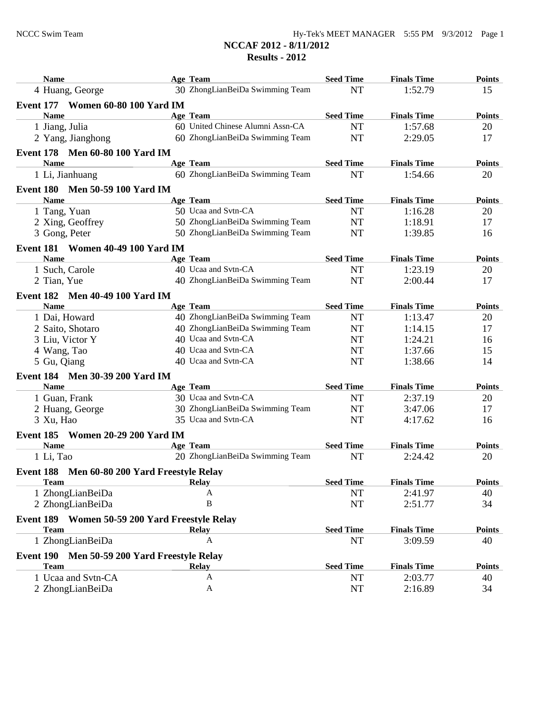| <b>Name</b>                                    | Age Team                           | <b>Seed Time</b> | <b>Finals Time</b> | <b>Points</b> |
|------------------------------------------------|------------------------------------|------------------|--------------------|---------------|
| 4 Huang, George                                | 30 ZhongLianBeiDa Swimming Team    | <b>NT</b>        | 1:52.79            | 15            |
| <b>Event 177 Women 60-80 100 Yard IM</b>       |                                    |                  |                    |               |
| <b>Name</b>                                    | Age Team                           | <b>Seed Time</b> | <b>Finals Time</b> | <b>Points</b> |
| 1 Jiang, Julia                                 | 60 United Chinese Alumni Assn-CA   | <b>NT</b>        | 1:57.68            | 20            |
| 2 Yang, Jianghong                              | 60 ZhongLianBeiDa Swimming Team    | <b>NT</b>        | 2:29.05            | 17            |
|                                                |                                    |                  |                    |               |
| Event 178 Men 60-80 100 Yard IM<br><b>Name</b> | Age Team                           | <b>Seed Time</b> | <b>Finals Time</b> | <b>Points</b> |
| 1 Li, Jianhuang                                | 60 ZhongLianBeiDa Swimming Team    | <b>NT</b>        | 1:54.66            | 20            |
|                                                |                                    |                  |                    |               |
| Event 180 Men 50-59 100 Yard IM                |                                    |                  |                    |               |
| <b>Name</b>                                    | Age Team                           | <b>Seed Time</b> | <b>Finals Time</b> | <b>Points</b> |
| 1 Tang, Yuan                                   | 50 Ucaa and Svtn-CA                | <b>NT</b>        | 1:16.28            | 20            |
| 2 Xing, Geoffrey                               | 50 ZhongLianBeiDa Swimming Team    | NT               | 1:18.91            | 17            |
| 3 Gong, Peter                                  | 50 ZhongLianBeiDa Swimming Team    | <b>NT</b>        | 1:39.85            | 16            |
| <b>Event 181 Women 40-49 100 Yard IM</b>       |                                    |                  |                    |               |
| <b>Name</b>                                    | Age Team                           | <b>Seed Time</b> | <b>Finals Time</b> | <b>Points</b> |
| 1 Such, Carole                                 | 40 Ucaa and Svtn-CA                | NT               | 1:23.19            | 20            |
| 2 Tian, Yue                                    | 40 ZhongLianBeiDa Swimming Team    | <b>NT</b>        | 2:00.44            | 17            |
| Event 182 Men 40-49 100 Yard IM                |                                    |                  |                    |               |
| <b>Name</b>                                    | Age Team                           | <b>Seed Time</b> | <b>Finals Time</b> | <b>Points</b> |
| 1 Dai, Howard                                  | 40 ZhongLianBeiDa Swimming Team    | <b>NT</b>        | 1:13.47            | 20            |
| 2 Saito, Shotaro                               | 40 ZhongLianBeiDa Swimming Team    | <b>NT</b>        | 1:14.15            | 17            |
| 3 Liu, Victor Y                                | 40 Ucaa and Svtn-CA                | <b>NT</b>        | 1:24.21            | 16            |
| 4 Wang, Tao                                    | 40 Ucaa and Svtn-CA                | NT               | 1:37.66            | 15            |
| 5 Gu, Qiang                                    | 40 Ucaa and Svtn-CA                | <b>NT</b>        | 1:38.66            | 14            |
| Event 184 Men 30-39 200 Yard IM                |                                    |                  |                    |               |
| <b>Name</b>                                    | Age Team                           | <b>Seed Time</b> | <b>Finals Time</b> | <b>Points</b> |
| 1 Guan, Frank                                  | 30 Ucaa and Svtn-CA                | <b>NT</b>        | 2:37.19            | 20            |
| 2 Huang, George                                | 30 ZhongLianBeiDa Swimming Team    | <b>NT</b>        | 3:47.06            | 17            |
| 3 Xu, Hao                                      | 35 Ucaa and Svtn-CA                | <b>NT</b>        | 4:17.62            | 16            |
| Event 185 Women 20-29 200 Yard IM              |                                    |                  |                    |               |
| <b>Name</b>                                    | Age Team                           | <b>Seed Time</b> | <b>Finals Time</b> | <b>Points</b> |
| 1 Li, Tao                                      | 20 ZhongLianBeiDa Swimming Team    | <b>NT</b>        | 2:24.42            | 20            |
|                                                |                                    |                  |                    |               |
| Event 188 Men 60-80 200 Yard Freestyle Relay   |                                    |                  |                    |               |
| <b>Team</b>                                    | <b>Relay</b>                       | <b>Seed Time</b> | <b>Finals Time</b> | <b>Points</b> |
| 1 ZhongLianBeiDa                               | A                                  | NT               | 2:41.97            | 40            |
| 2 ZhongLianBeiDa                               | $\mathbf B$                        | NT               | 2:51.77            | 34            |
| Event 189 Women 50-59 200 Yard Freestyle Relay |                                    |                  |                    |               |
| <b>Team</b>                                    | <b>Relay</b>                       | <b>Seed Time</b> | <b>Finals Time</b> | <b>Points</b> |
| 1 ZhongLianBeiDa                               | A                                  | NT               | 3:09.59            | 40            |
| Event 190                                      | Men 50-59 200 Yard Freestyle Relay |                  |                    |               |
| <b>Team</b>                                    | <b>Relay</b>                       | <b>Seed Time</b> | <b>Finals Time</b> | <b>Points</b> |
| 1 Ucaa and Svtn-CA                             | A                                  | <b>NT</b>        | 2:03.77            | 40            |
| 2 ZhongLianBeiDa                               | A                                  | NT               | 2:16.89            | 34            |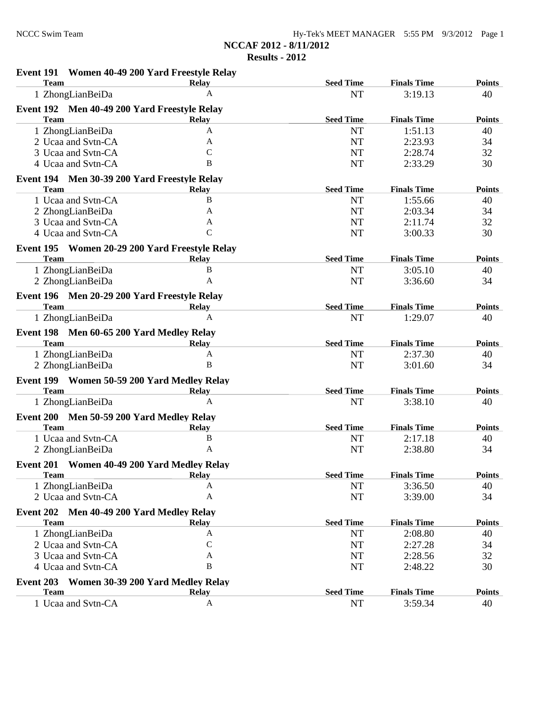**NCCAF 2012 - 8/11/2012**

**Results - 2012**

| Event 191 Women 40-49 200 Yard Freestyle Relay              |                           |                               |                               |                     |
|-------------------------------------------------------------|---------------------------|-------------------------------|-------------------------------|---------------------|
| <b>Team</b>                                                 | <b>Relay</b><br>A         | <b>Seed Time</b>              | <b>Finals Time</b>            | <b>Points</b>       |
| 1 ZhongLianBeiDa                                            |                           | <b>NT</b>                     | 3:19.13                       | 40                  |
| Event 192 Men 40-49 200 Yard Freestyle Relay                |                           |                               |                               |                     |
| <b>Team</b>                                                 | <b>Relay</b>              | <b>Seed Time</b>              | <b>Finals Time</b>            | <b>Points</b>       |
| 1 ZhongLianBeiDa                                            | A<br>A                    | <b>NT</b>                     | 1:51.13                       | 40                  |
| 2 Ucaa and Svtn-CA<br>3 Ucaa and Svtn-CA                    | $\mathcal{C}$             | <b>NT</b><br><b>NT</b>        | 2:23.93<br>2:28.74            | 34<br>32            |
| 4 Ucaa and Svtn-CA                                          | B                         | <b>NT</b>                     | 2:33.29                       | 30                  |
|                                                             |                           |                               |                               |                     |
| Event 194 Men 30-39 200 Yard Freestyle Relay<br><b>Team</b> |                           | <b>Seed Time</b>              | <b>Finals Time</b>            |                     |
| 1 Ucaa and Svtn-CA                                          | <b>Relay</b><br>B         | <b>NT</b>                     | 1:55.66                       | <b>Points</b><br>40 |
|                                                             | A                         | <b>NT</b>                     | 2:03.34                       | 34                  |
| 2 ZhongLianBeiDa<br>3 Ucaa and Svtn-CA                      | A                         | <b>NT</b>                     |                               |                     |
| 4 Ucaa and Svtn-CA                                          | $\mathcal{C}$             | <b>NT</b>                     | 2:11.74<br>3:00.33            | 32<br>30            |
|                                                             |                           |                               |                               |                     |
| Event 195 Women 20-29 200 Yard Freestyle Relay              |                           |                               |                               |                     |
| <b>Team</b>                                                 | <b>Relay</b>              | <b>Seed Time</b>              | <b>Finals Time</b>            | <b>Points</b>       |
| 1 ZhongLianBeiDa                                            | $\, {\bf B}$              | NT                            | 3:05.10                       | 40                  |
| 2 ZhongLianBeiDa                                            | $\mathbf{A}$              | <b>NT</b>                     | 3:36.60                       | 34                  |
| Event 196 Men 20-29 200 Yard Freestyle Relay                |                           |                               |                               |                     |
| <b>Team</b>                                                 | <b>Relay</b>              | <b>Seed Time</b>              | <b>Finals Time</b>            | <b>Points</b>       |
| 1 ZhongLianBeiDa                                            | $\mathbf{A}$              | <b>NT</b>                     | 1:29.07                       | 40                  |
| Event 198 Men 60-65 200 Yard Medley Relay                   |                           |                               |                               |                     |
| <b>Team</b>                                                 | <b>Relay</b>              | <b>Seed Time</b>              | <b>Finals Time</b>            | <b>Points</b>       |
| 1 ZhongLianBeiDa                                            | $\mathbf{A}$              | <b>NT</b>                     | 2:37.30                       | 40                  |
| 2 ZhongLianBeiDa                                            | B                         | <b>NT</b>                     | 3:01.60                       | 34                  |
| Event 199 Women 50-59 200 Yard Medley Relay                 |                           |                               |                               |                     |
| <b>Team</b>                                                 | Relay                     | <b>Seed Time</b>              | <b>Finals Time</b>            | <b>Points</b>       |
| 1 ZhongLianBeiDa                                            | A                         | <b>NT</b>                     | 3:38.10                       | 40                  |
| <b>Event 200</b>                                            |                           |                               |                               |                     |
| Men 50-59 200 Yard Medley Relay<br><b>Team</b>              | <b>Relay</b>              | <b>Seed Time</b>              | <b>Finals Time</b>            | <b>Points</b>       |
| 1 Ucaa and Svtn-CA                                          | $\bf{B}$                  | <b>NT</b>                     | 2:17.18                       | 40                  |
| 2 ZhongLianBeiDa                                            | $\mathbf{A}$              | NT                            | 2:38.80                       | 34                  |
|                                                             |                           |                               |                               |                     |
| Event 201 Women 40-49 200 Yard Medley Relay                 |                           |                               |                               |                     |
| <b>Team</b>                                                 | <b>Relay</b><br>A         | <b>Seed Time</b><br><b>NT</b> | <b>Finals Time</b><br>3:36.50 | <b>Points</b><br>40 |
| 1 ZhongLianBeiDa<br>2 Ucaa and Svtn-CA                      | $\mathbf{A}$              | NT                            | 3:39.00                       | 34                  |
|                                                             |                           |                               |                               |                     |
| Event 202<br>Men 40-49 200 Yard Medley Relay                |                           |                               |                               |                     |
| <b>Team</b>                                                 | <b>Relay</b>              | <b>Seed Time</b>              | <b>Finals Time</b>            | <b>Points</b>       |
| 1 ZhongLianBeiDa                                            | A                         | <b>NT</b>                     | 2:08.80                       | 40                  |
| 2 Ucaa and Svtn-CA                                          | $\mathsf{C}$              | NT                            | 2:27.28                       | 34                  |
| 3 Ucaa and Svtn-CA                                          | A                         | NT                            | 2:28.56                       | 32                  |
| 4 Ucaa and Svtn-CA                                          | $\, {\bf B}$              | NT                            | 2:48.22                       | 30                  |
| Event 203<br>Women 30-39 200 Yard Medley Relay              |                           |                               |                               |                     |
| <b>Team</b>                                                 | <b>Relay</b>              | <b>Seed Time</b>              | <b>Finals Time</b>            | <b>Points</b>       |
| 1 Ucaa and Svtn-CA                                          | $\boldsymbol{\mathsf{A}}$ | <b>NT</b>                     | 3:59.34                       | 40                  |